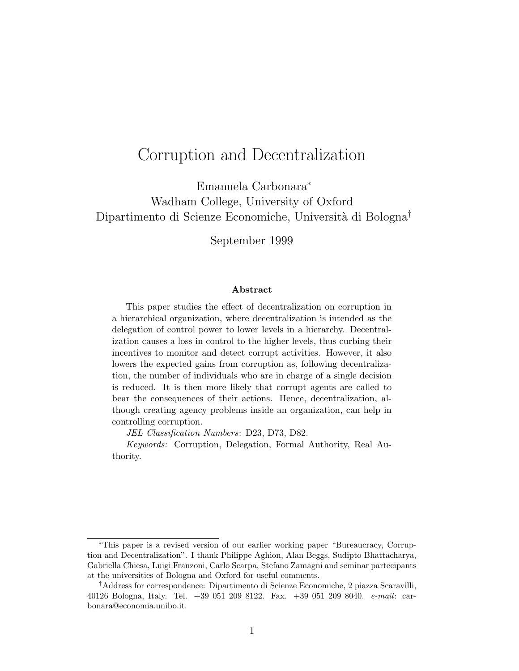## Corruption and Decentralization

Emanuela Carbonara<sup>∗</sup> Wadham College, University of Oxford Dipartimento di Scienze Economiche, Università di Bologna<sup>†</sup>

September 1999

#### Abstract

This paper studies the effect of decentralization on corruption in a hierarchical organization, where decentralization is intended as the delegation of control power to lower levels in a hierarchy. Decentralization causes a loss in control to the higher levels, thus curbing their incentives to monitor and detect corrupt activities. However, it also lowers the expected gains from corruption as, following decentralization, the number of individuals who are in charge of a single decision is reduced. It is then more likely that corrupt agents are called to bear the consequences of their actions. Hence, decentralization, although creating agency problems inside an organization, can help in controlling corruption.

JEL Classification Numbers: D23, D73, D82.

Keywords: Corruption, Delegation, Formal Authority, Real Authority.

<sup>∗</sup>This paper is a revised version of our earlier working paper "Bureaucracy, Corruption and Decentralization". I thank Philippe Aghion, Alan Beggs, Sudipto Bhattacharya, Gabriella Chiesa, Luigi Franzoni, Carlo Scarpa, Stefano Zamagni and seminar partecipants at the universities of Bologna and Oxford for useful comments.

<sup>†</sup>Address for correspondence: Dipartimento di Scienze Economiche, 2 piazza Scaravilli, 40126 Bologna, Italy. Tel. +39 051 209 8122. Fax. +39 051 209 8040. e-mail: carbonara@economia.unibo.it.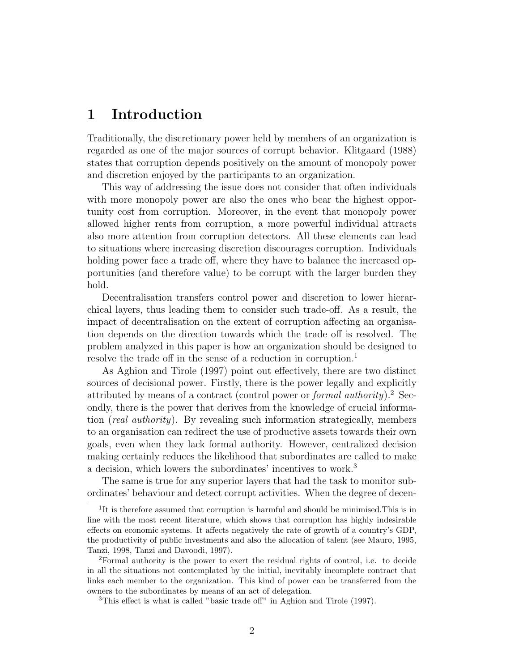### 1 Introduction

Traditionally, the discretionary power held by members of an organization is regarded as one of the major sources of corrupt behavior. Klitgaard (1988) states that corruption depends positively on the amount of monopoly power and discretion enjoyed by the participants to an organization.

This way of addressing the issue does not consider that often individuals with more monopoly power are also the ones who bear the highest opportunity cost from corruption. Moreover, in the event that monopoly power allowed higher rents from corruption, a more powerful individual attracts also more attention from corruption detectors. All these elements can lead to situations where increasing discretion discourages corruption. Individuals holding power face a trade off, where they have to balance the increased opportunities (and therefore value) to be corrupt with the larger burden they hold.

Decentralisation transfers control power and discretion to lower hierarchical layers, thus leading them to consider such trade-off. As a result, the impact of decentralisation on the extent of corruption affecting an organisation depends on the direction towards which the trade off is resolved. The problem analyzed in this paper is how an organization should be designed to resolve the trade off in the sense of a reduction in corruption.<sup>1</sup>

As Aghion and Tirole (1997) point out effectively, there are two distinct sources of decisional power. Firstly, there is the power legally and explicitly attributed by means of a contract (control power or *formal authority*).<sup>2</sup> Secondly, there is the power that derives from the knowledge of crucial information (real authority). By revealing such information strategically, members to an organisation can redirect the use of productive assets towards their own goals, even when they lack formal authority. However, centralized decision making certainly reduces the likelihood that subordinates are called to make a decision, which lowers the subordinates' incentives to work.<sup>3</sup>

The same is true for any superior layers that had the task to monitor subordinates' behaviour and detect corrupt activities. When the degree of decen-

<sup>&</sup>lt;sup>1</sup>It is therefore assumed that corruption is harmful and should be minimised. This is in line with the most recent literature, which shows that corruption has highly indesirable effects on economic systems. It affects negatively the rate of growth of a country's GDP, the productivity of public investments and also the allocation of talent (see Mauro, 1995, Tanzi, 1998, Tanzi and Davoodi, 1997).

<sup>2</sup>Formal authority is the power to exert the residual rights of control, i.e. to decide in all the situations not contemplated by the initial, inevitably incomplete contract that links each member to the organization. This kind of power can be transferred from the owners to the subordinates by means of an act of delegation.

<sup>3</sup>This effect is what is called "basic trade off" in Aghion and Tirole (1997).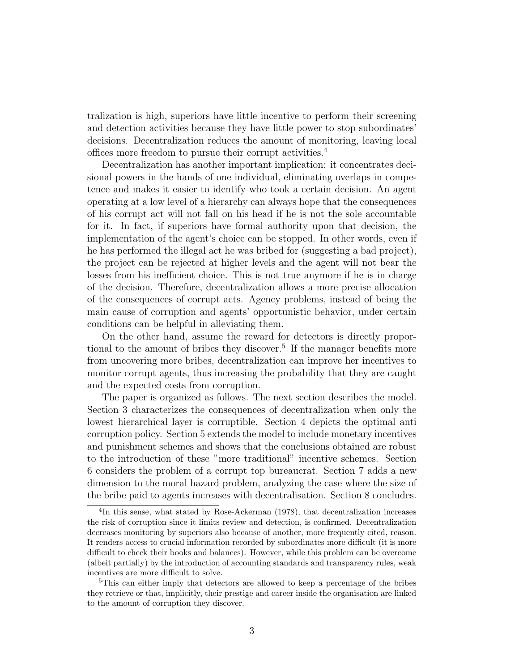tralization is high, superiors have little incentive to perform their screening and detection activities because they have little power to stop subordinates' decisions. Decentralization reduces the amount of monitoring, leaving local offices more freedom to pursue their corrupt activities.<sup>4</sup>

Decentralization has another important implication: it concentrates decisional powers in the hands of one individual, eliminating overlaps in competence and makes it easier to identify who took a certain decision. An agent operating at a low level of a hierarchy can always hope that the consequences of his corrupt act will not fall on his head if he is not the sole accountable for it. In fact, if superiors have formal authority upon that decision, the implementation of the agent's choice can be stopped. In other words, even if he has performed the illegal act he was bribed for (suggesting a bad project), the project can be rejected at higher levels and the agent will not bear the losses from his inefficient choice. This is not true anymore if he is in charge of the decision. Therefore, decentralization allows a more precise allocation of the consequences of corrupt acts. Agency problems, instead of being the main cause of corruption and agents' opportunistic behavior, under certain conditions can be helpful in alleviating them.

On the other hand, assume the reward for detectors is directly proportional to the amount of bribes they discover.<sup>5</sup> If the manager benefits more from uncovering more bribes, decentralization can improve her incentives to monitor corrupt agents, thus increasing the probability that they are caught and the expected costs from corruption.

The paper is organized as follows. The next section describes the model. Section 3 characterizes the consequences of decentralization when only the lowest hierarchical layer is corruptible. Section 4 depicts the optimal anti corruption policy. Section 5 extends the model to include monetary incentives and punishment schemes and shows that the conclusions obtained are robust to the introduction of these "more traditional" incentive schemes. Section 6 considers the problem of a corrupt top bureaucrat. Section 7 adds a new dimension to the moral hazard problem, analyzing the case where the size of the bribe paid to agents increases with decentralisation. Section 8 concludes.

<sup>&</sup>lt;sup>4</sup>In this sense, what stated by Rose-Ackerman (1978), that decentralization increases the risk of corruption since it limits review and detection, is confirmed. Decentralization decreases monitoring by superiors also because of another, more frequently cited, reason. It renders access to crucial information recorded by subordinates more difficult (it is more difficult to check their books and balances). However, while this problem can be overcome (albeit partially) by the introduction of accounting standards and transparency rules, weak incentives are more difficult to solve.

<sup>&</sup>lt;sup>5</sup>This can either imply that detectors are allowed to keep a percentage of the bribes they retrieve or that, implicitly, their prestige and career inside the organisation are linked to the amount of corruption they discover.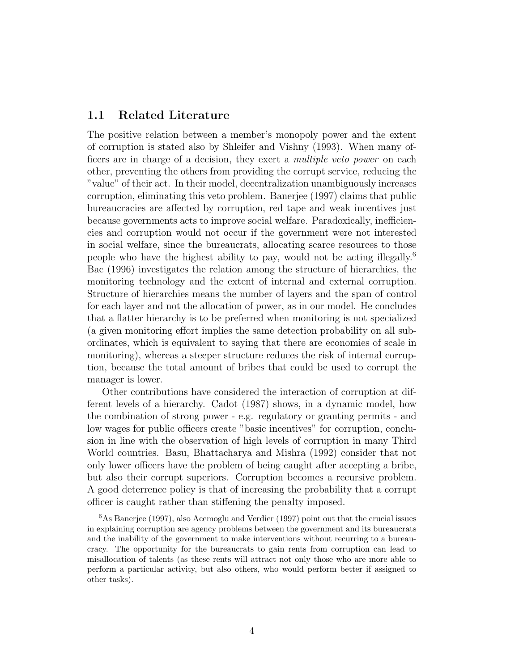#### 1.1 Related Literature

The positive relation between a member's monopoly power and the extent of corruption is stated also by Shleifer and Vishny (1993). When many officers are in charge of a decision, they exert a multiple veto power on each other, preventing the others from providing the corrupt service, reducing the "value" of their act. In their model, decentralization unambiguously increases corruption, eliminating this veto problem. Banerjee (1997) claims that public bureaucracies are affected by corruption, red tape and weak incentives just because governments acts to improve social welfare. Paradoxically, inefficiencies and corruption would not occur if the government were not interested in social welfare, since the bureaucrats, allocating scarce resources to those people who have the highest ability to pay, would not be acting illegally.<sup>6</sup> Bac (1996) investigates the relation among the structure of hierarchies, the monitoring technology and the extent of internal and external corruption. Structure of hierarchies means the number of layers and the span of control for each layer and not the allocation of power, as in our model. He concludes that a flatter hierarchy is to be preferred when monitoring is not specialized (a given monitoring effort implies the same detection probability on all subordinates, which is equivalent to saying that there are economies of scale in monitoring), whereas a steeper structure reduces the risk of internal corruption, because the total amount of bribes that could be used to corrupt the manager is lower.

Other contributions have considered the interaction of corruption at different levels of a hierarchy. Cadot (1987) shows, in a dynamic model, how the combination of strong power - e.g. regulatory or granting permits - and low wages for public officers create "basic incentives" for corruption, conclusion in line with the observation of high levels of corruption in many Third World countries. Basu, Bhattacharya and Mishra (1992) consider that not only lower officers have the problem of being caught after accepting a bribe, but also their corrupt superiors. Corruption becomes a recursive problem. A good deterrence policy is that of increasing the probability that a corrupt officer is caught rather than stiffening the penalty imposed.

 $6$ As Banerjee (1997), also Acemoglu and Verdier (1997) point out that the crucial issues in explaining corruption are agency problems between the government and its bureaucrats and the inability of the government to make interventions without recurring to a bureaucracy. The opportunity for the bureaucrats to gain rents from corruption can lead to misallocation of talents (as these rents will attract not only those who are more able to perform a particular activity, but also others, who would perform better if assigned to other tasks).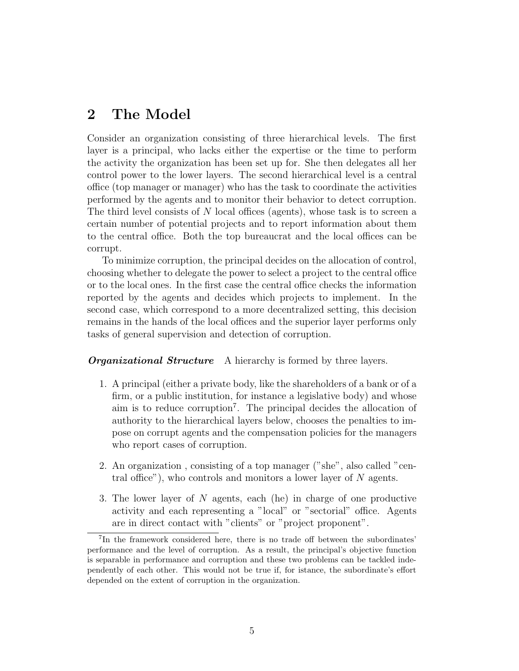### 2 The Model

Consider an organization consisting of three hierarchical levels. The first layer is a principal, who lacks either the expertise or the time to perform the activity the organization has been set up for. She then delegates all her control power to the lower layers. The second hierarchical level is a central office (top manager or manager) who has the task to coordinate the activities performed by the agents and to monitor their behavior to detect corruption. The third level consists of N local offices (agents), whose task is to screen a certain number of potential projects and to report information about them to the central office. Both the top bureaucrat and the local offices can be corrupt.

To minimize corruption, the principal decides on the allocation of control, choosing whether to delegate the power to select a project to the central office or to the local ones. In the first case the central office checks the information reported by the agents and decides which projects to implement. In the second case, which correspond to a more decentralized setting, this decision remains in the hands of the local offices and the superior layer performs only tasks of general supervision and detection of corruption.

**Organizational Structure** A hierarchy is formed by three layers.

- 1. A principal (either a private body, like the shareholders of a bank or of a firm, or a public institution, for instance a legislative body) and whose aim is to reduce corruption<sup>7</sup> . The principal decides the allocation of authority to the hierarchical layers below, chooses the penalties to impose on corrupt agents and the compensation policies for the managers who report cases of corruption.
- 2. An organization , consisting of a top manager ("she", also called "central office"), who controls and monitors a lower layer of  $N$  agents.
- 3. The lower layer of N agents, each (he) in charge of one productive activity and each representing a "local" or "sectorial" office. Agents are in direct contact with "clients" or "project proponent".

<sup>7</sup> In the framework considered here, there is no trade off between the subordinates' performance and the level of corruption. As a result, the principal's objective function is separable in performance and corruption and these two problems can be tackled independently of each other. This would not be true if, for istance, the subordinate's effort depended on the extent of corruption in the organization.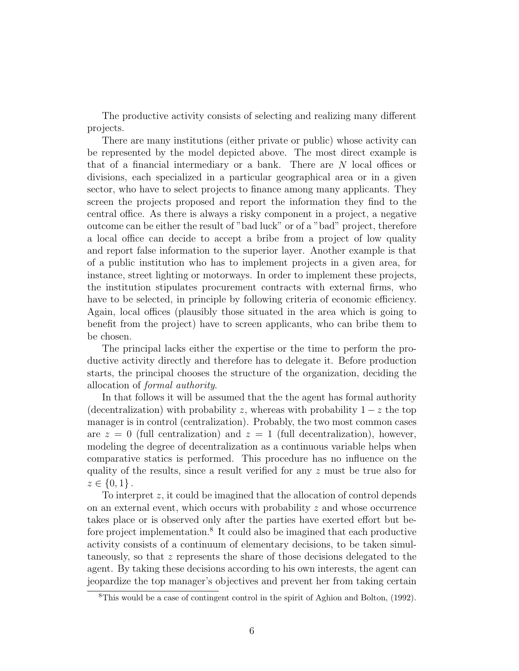The productive activity consists of selecting and realizing many different projects.

There are many institutions (either private or public) whose activity can be represented by the model depicted above. The most direct example is that of a financial intermediary or a bank. There are N local offices or divisions, each specialized in a particular geographical area or in a given sector, who have to select projects to finance among many applicants. They screen the projects proposed and report the information they find to the central office. As there is always a risky component in a project, a negative outcome can be either the result of "bad luck" or of a "bad" project, therefore a local office can decide to accept a bribe from a project of low quality and report false information to the superior layer. Another example is that of a public institution who has to implement projects in a given area, for instance, street lighting or motorways. In order to implement these projects, the institution stipulates procurement contracts with external firms, who have to be selected, in principle by following criteria of economic efficiency. Again, local offices (plausibly those situated in the area which is going to benefit from the project) have to screen applicants, who can bribe them to be chosen.

The principal lacks either the expertise or the time to perform the productive activity directly and therefore has to delegate it. Before production starts, the principal chooses the structure of the organization, deciding the allocation of formal authority.

In that follows it will be assumed that the the agent has formal authority (decentralization) with probability z, whereas with probability  $1 - z$  the top manager is in control (centralization). Probably, the two most common cases are  $z = 0$  (full centralization) and  $z = 1$  (full decentralization), however, modeling the degree of decentralization as a continuous variable helps when comparative statics is performed. This procedure has no influence on the quality of the results, since a result verified for any z must be true also for  $z \in \{0, 1\}$ .

To interpret z, it could be imagined that the allocation of control depends on an external event, which occurs with probability  $z$  and whose occurrence takes place or is observed only after the parties have exerted effort but before project implementation.<sup>8</sup> It could also be imagined that each productive activity consists of a continuum of elementary decisions, to be taken simultaneously, so that z represents the share of those decisions delegated to the agent. By taking these decisions according to his own interests, the agent can jeopardize the top manager's objectives and prevent her from taking certain

<sup>8</sup>This would be a case of contingent control in the spirit of Aghion and Bolton, (1992).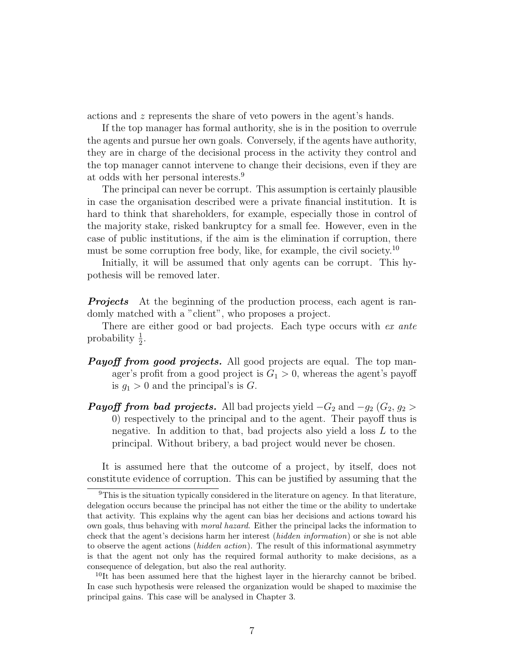actions and z represents the share of veto powers in the agent's hands.

If the top manager has formal authority, she is in the position to overrule the agents and pursue her own goals. Conversely, if the agents have authority, they are in charge of the decisional process in the activity they control and the top manager cannot intervene to change their decisions, even if they are at odds with her personal interests.<sup>9</sup>

The principal can never be corrupt. This assumption is certainly plausible in case the organisation described were a private financial institution. It is hard to think that shareholders, for example, especially those in control of the majority stake, risked bankruptcy for a small fee. However, even in the case of public institutions, if the aim is the elimination if corruption, there must be some corruption free body, like, for example, the civil society.<sup>10</sup>

Initially, it will be assumed that only agents can be corrupt. This hypothesis will be removed later.

**Projects** At the beginning of the production process, each agent is randomly matched with a "client", who proposes a project.

There are either good or bad projects. Each type occurs with ex ante probability  $\frac{1}{2}$ .

- **Payoff from good projects.** All good projects are equal. The top manager's profit from a good project is  $G_1 > 0$ , whereas the agent's payoff is  $g_1 > 0$  and the principal's is G.
- **Payoff from bad projects.** All bad projects yield  $-G_2$  and  $-g_2$  ( $G_2$ ,  $g_2$ ) 0) respectively to the principal and to the agent. Their payoff thus is negative. In addition to that, bad projects also yield a loss  $L$  to the principal. Without bribery, a bad project would never be chosen.

It is assumed here that the outcome of a project, by itself, does not constitute evidence of corruption. This can be justified by assuming that the

<sup>10</sup>It has been assumed here that the highest layer in the hierarchy cannot be bribed. In case such hypothesis were released the organization would be shaped to maximise the principal gains. This case will be analysed in Chapter 3.

<sup>&</sup>lt;sup>9</sup>This is the situation typically considered in the literature on agency. In that literature, delegation occurs because the principal has not either the time or the ability to undertake that activity. This explains why the agent can bias her decisions and actions toward his own goals, thus behaving with moral hazard. Either the principal lacks the information to check that the agent's decisions harm her interest (hidden information) or she is not able to observe the agent actions (hidden action). The result of this informational asymmetry is that the agent not only has the required formal authority to make decisions, as a consequence of delegation, but also the real authority.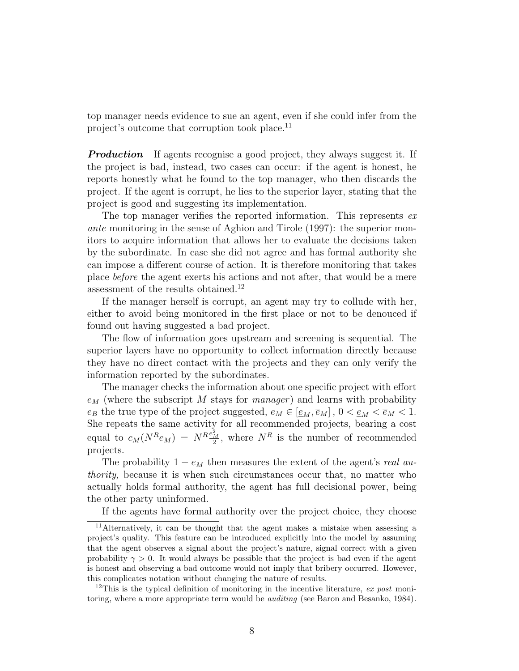top manager needs evidence to sue an agent, even if she could infer from the project's outcome that corruption took place.<sup>11</sup>

**Production** If agents recognise a good project, they always suggest it. If the project is bad, instead, two cases can occur: if the agent is honest, he reports honestly what he found to the top manager, who then discards the project. If the agent is corrupt, he lies to the superior layer, stating that the project is good and suggesting its implementation.

The top manager verifies the reported information. This represents exante monitoring in the sense of Aghion and Tirole (1997): the superior monitors to acquire information that allows her to evaluate the decisions taken by the subordinate. In case she did not agree and has formal authority she can impose a different course of action. It is therefore monitoring that takes place before the agent exerts his actions and not after, that would be a mere assessment of the results obtained.<sup>12</sup>

If the manager herself is corrupt, an agent may try to collude with her, either to avoid being monitored in the first place or not to be denouced if found out having suggested a bad project.

The flow of information goes upstream and screening is sequential. The superior layers have no opportunity to collect information directly because they have no direct contact with the projects and they can only verify the information reported by the subordinates.

The manager checks the information about one specific project with effort  $e_M$  (where the subscript M stays for manager) and learns with probability  $e_B$  the true type of the project suggested,  $e_M \in [\underline{e}_M, \overline{e}_M]$ ,  $0 < \underline{e}_M < \overline{e}_M < 1$ . She repeats the same activity for all recommended projects, bearing a cost equal to  $c_M(N^R e_M) = N^R \frac{e_M^2}{2}$ , where  $N^R$  is the number of recommended projects.

The probability  $1 - e_M$  then measures the extent of the agent's real authority, because it is when such circumstances occur that, no matter who actually holds formal authority, the agent has full decisional power, being the other party uninformed.

If the agents have formal authority over the project choice, they choose

<sup>11</sup>Alternatively, it can be thought that the agent makes a mistake when assessing a project's quality. This feature can be introduced explicitly into the model by assuming that the agent observes a signal about the project's nature, signal correct with a given probability  $\gamma > 0$ . It would always be possible that the project is bad even if the agent is honest and observing a bad outcome would not imply that bribery occurred. However, this complicates notation without changing the nature of results.

<sup>&</sup>lt;sup>12</sup>This is the typical definition of monitoring in the incentive literature, ex post monitoring, where a more appropriate term would be *auditing* (see Baron and Besanko, 1984).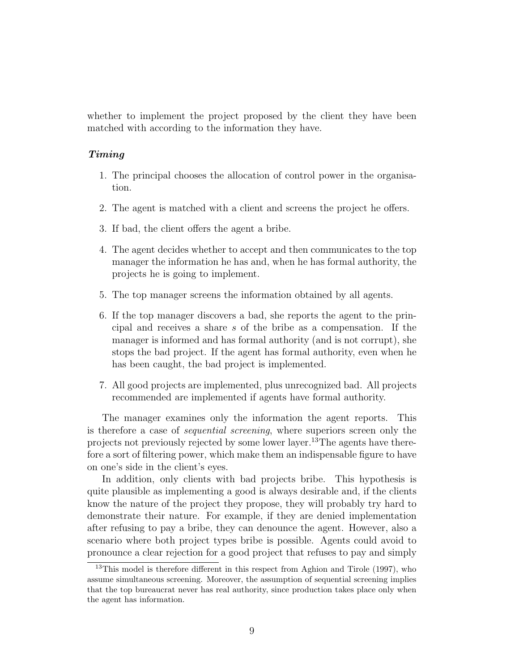whether to implement the project proposed by the client they have been matched with according to the information they have.

#### Timing

- 1. The principal chooses the allocation of control power in the organisation.
- 2. The agent is matched with a client and screens the project he offers.
- 3. If bad, the client offers the agent a bribe.
- 4. The agent decides whether to accept and then communicates to the top manager the information he has and, when he has formal authority, the projects he is going to implement.
- 5. The top manager screens the information obtained by all agents.
- 6. If the top manager discovers a bad, she reports the agent to the principal and receives a share s of the bribe as a compensation. If the manager is informed and has formal authority (and is not corrupt), she stops the bad project. If the agent has formal authority, even when he has been caught, the bad project is implemented.
- 7. All good projects are implemented, plus unrecognized bad. All projects recommended are implemented if agents have formal authority.

The manager examines only the information the agent reports. This is therefore a case of sequential screening, where superiors screen only the projects not previously rejected by some lower layer.<sup>13</sup>The agents have therefore a sort of filtering power, which make them an indispensable figure to have on one's side in the client's eyes.

In addition, only clients with bad projects bribe. This hypothesis is quite plausible as implementing a good is always desirable and, if the clients know the nature of the project they propose, they will probably try hard to demonstrate their nature. For example, if they are denied implementation after refusing to pay a bribe, they can denounce the agent. However, also a scenario where both project types bribe is possible. Agents could avoid to pronounce a clear rejection for a good project that refuses to pay and simply

<sup>&</sup>lt;sup>13</sup>This model is therefore different in this respect from Aghion and Tirole (1997), who assume simultaneous screening. Moreover, the assumption of sequential screening implies that the top bureaucrat never has real authority, since production takes place only when the agent has information.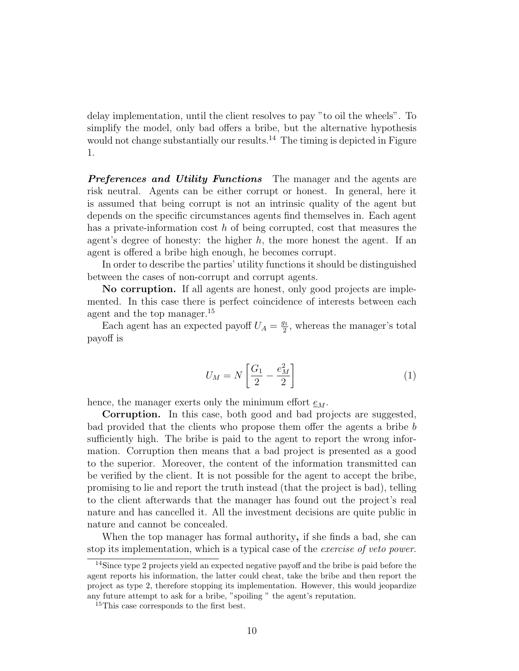delay implementation, until the client resolves to pay "to oil the wheels". To simplify the model, only bad offers a bribe, but the alternative hypothesis would not change substantially our results.<sup>14</sup> The timing is depicted in Figure 1.

**Preferences and Utility Functions** The manager and the agents are risk neutral. Agents can be either corrupt or honest. In general, here it is assumed that being corrupt is not an intrinsic quality of the agent but depends on the specific circumstances agents find themselves in. Each agent has a private-information cost  $h$  of being corrupted, cost that measures the agent's degree of honesty: the higher  $h$ , the more honest the agent. If an agent is offered a bribe high enough, he becomes corrupt.

In order to describe the parties' utility functions it should be distinguished between the cases of non-corrupt and corrupt agents.

No corruption. If all agents are honest, only good projects are implemented. In this case there is perfect coincidence of interests between each agent and the top manager.<sup>15</sup>

Each agent has an expected payoff  $U_A = \frac{g_1}{2}$  $\frac{y_1}{2}$ , whereas the manager's total payoff is

$$
U_M = N \left[ \frac{G_1}{2} - \frac{e_M^2}{2} \right] \tag{1}
$$

hence, the manager exerts only the minimum effort  $e_M$ .

Corruption. In this case, both good and bad projects are suggested, bad provided that the clients who propose them offer the agents a bribe b sufficiently high. The bribe is paid to the agent to report the wrong information. Corruption then means that a bad project is presented as a good to the superior. Moreover, the content of the information transmitted can be verified by the client. It is not possible for the agent to accept the bribe, promising to lie and report the truth instead (that the project is bad), telling to the client afterwards that the manager has found out the project's real nature and has cancelled it. All the investment decisions are quite public in nature and cannot be concealed.

When the top manager has formal authority, if she finds a bad, she can stop its implementation, which is a typical case of the exercise of veto power.

<sup>14</sup>Since type 2 projects yield an expected negative payoff and the bribe is paid before the agent reports his information, the latter could cheat, take the bribe and then report the project as type 2, therefore stopping its implementation. However, this would jeopardize any future attempt to ask for a bribe, "spoiling " the agent's reputation.

<sup>&</sup>lt;sup>15</sup>This case corresponds to the first best.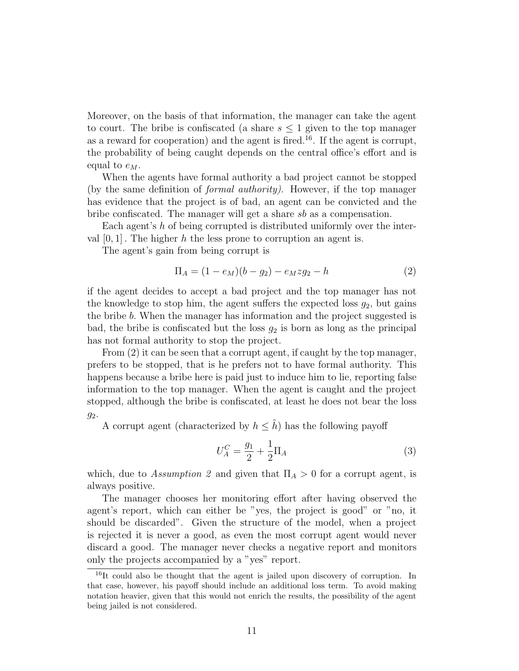Moreover, on the basis of that information, the manager can take the agent to court. The bribe is confiscated (a share  $s \leq 1$  given to the top manager as a reward for cooperation) and the agent is fired.<sup>16</sup>. If the agent is corrupt, the probability of being caught depends on the central office's effort and is equal to  $e_M$ .

When the agents have formal authority a bad project cannot be stopped (by the same definition of formal authority). However, if the top manager has evidence that the project is of bad, an agent can be convicted and the bribe confiscated. The manager will get a share sb as a compensation.

Each agent's h of being corrupted is distributed uniformly over the interval  $[0, 1]$ . The higher h the less prone to corruption an agent is.

The agent's gain from being corrupt is

$$
\Pi_A = (1 - e_M)(b - g_2) - e_M z g_2 - h \tag{2}
$$

if the agent decides to accept a bad project and the top manager has not the knowledge to stop him, the agent suffers the expected loss  $g_2$ , but gains the bribe b. When the manager has information and the project suggested is bad, the bribe is confiscated but the loss  $g_2$  is born as long as the principal has not formal authority to stop the project.

From  $(2)$  it can be seen that a corrupt agent, if caught by the top manager, prefers to be stopped, that is he prefers not to have formal authority. This happens because a bribe here is paid just to induce him to lie, reporting false information to the top manager. When the agent is caught and the project stopped, although the bribe is confiscated, at least he does not bear the loss g2.

A corrupt agent (characterized by  $h \leq \tilde{h}$ ) has the following payoff

$$
U_A^C = \frac{g_1}{2} + \frac{1}{2}\Pi_A \tag{3}
$$

which, due to Assumption 2 and given that  $\Pi_A > 0$  for a corrupt agent, is always positive.

The manager chooses her monitoring effort after having observed the agent's report, which can either be "yes, the project is good" or "no, it should be discarded". Given the structure of the model, when a project is rejected it is never a good, as even the most corrupt agent would never discard a good. The manager never checks a negative report and monitors only the projects accompanied by a "yes" report.

<sup>&</sup>lt;sup>16</sup>It could also be thought that the agent is jailed upon discovery of corruption. In that case, however, his payoff should include an additional loss term. To avoid making notation heavier, given that this would not enrich the results, the possibility of the agent being jailed is not considered.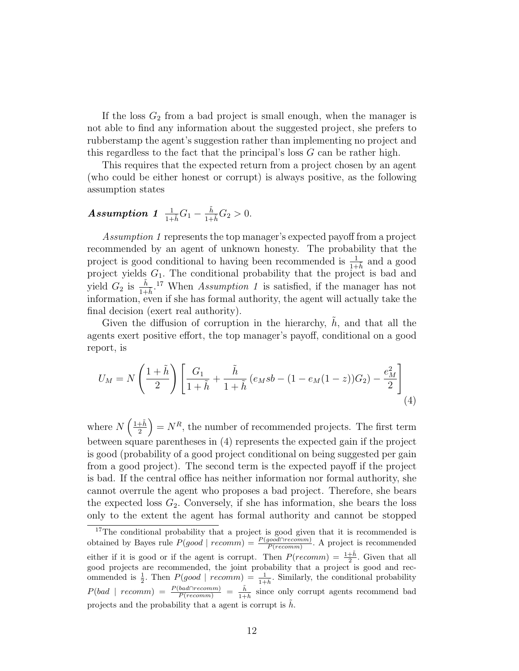If the loss  $G_2$  from a bad project is small enough, when the manager is not able to find any information about the suggested project, she prefers to rubberstamp the agent's suggestion rather than implementing no project and this regardless to the fact that the principal's loss G can be rather high.

This requires that the expected return from a project chosen by an agent (who could be either honest or corrupt) is always positive, as the following assumption states

# $\emph{Assumption 1} \ \frac{1}{1+\tilde{h}}G_{1}-\frac{\tilde{h}}{1+\tilde{h}}G_{2}>0.$

Assumption 1 represents the top manager's expected payoff from a project recommended by an agent of unknown honesty. The probability that the project is good conditional to having been recommended is  $\frac{1}{1+h}$  and a good project yields  $G_1$ . The conditional probability that the project is bad and yield  $G_2$  is  $\frac{\tilde{h}}{1+\tilde{h}}$ .<sup>17</sup> When Assumption 1 is satisfied, if the manager has not information, even if she has formal authority, the agent will actually take the final decision (exert real authority).

Given the diffusion of corruption in the hierarchy,  $h$ , and that all the agents exert positive effort, the top manager's payoff, conditional on a good report, is

$$
U_M = N\left(\frac{1+\tilde{h}}{2}\right)\left[\frac{G_1}{1+\tilde{h}} + \frac{\tilde{h}}{1+\tilde{h}}\left(e_M s b - (1-e_M(1-z))G_2\right) - \frac{e_M^2}{2}\right]
$$
\n(4)

where  $N\left(\frac{1+\tilde{h}}{2}\right)$ 2  $= N<sup>R</sup>$ , the number of recommended projects. The first term between square parentheses in (4) represents the expected gain if the project is good (probability of a good project conditional on being suggested per gain from a good project). The second term is the expected payoff if the project is bad. If the central office has neither information nor formal authority, she cannot overrule the agent who proposes a bad project. Therefore, she bears the expected loss  $G_2$ . Conversely, if she has information, she bears the loss only to the extent the agent has formal authority and cannot be stopped

<sup>&</sup>lt;sup>17</sup>The conditional probability that a project is good given that it is recommended is obtained by Bayes rule  $P(good \mid recomm) = \frac{P(good \cap recomm)}{P(recomm)}$ . A project is recommended either if it is good or if the agent is corrupt. Then  $P(recomm) = \frac{1+\tilde{h}}{2}$ . Given that all good projects are recommended, the joint probability that a project is good and recommended is  $\frac{1}{2}$ . Then  $P(good \mid recomm) = \frac{1}{1+\tilde{h}}$ . Similarly, the conditional probability  $P(bad \mid recomm) = \frac{P(bad \cap recomm)}{P(recomm)} = \frac{\tilde{h}}{1 + \tilde{h}}$  $\frac{h}{1+h}$  since only corrupt agents recommend bad projects and the probability that a agent is corrupt is  $\tilde{h}$ .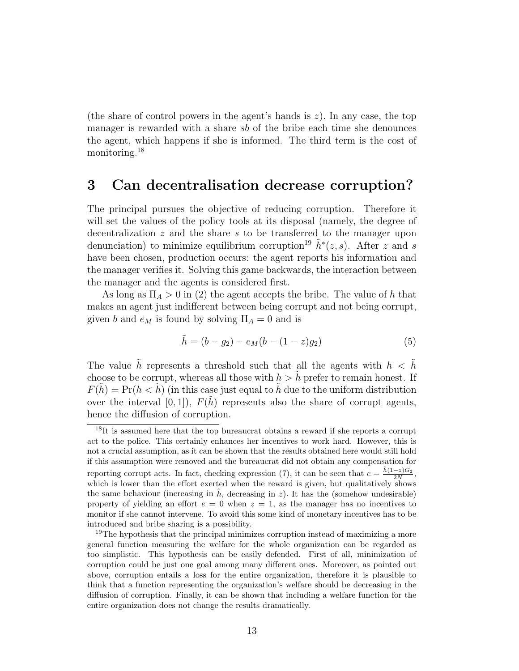(the share of control powers in the agent's hands is  $z$ ). In any case, the top manager is rewarded with a share sb of the bribe each time she denounces the agent, which happens if she is informed. The third term is the cost of monitoring.<sup>18</sup>

### 3 Can decentralisation decrease corruption?

The principal pursues the objective of reducing corruption. Therefore it will set the values of the policy tools at its disposal (namely, the degree of decentralization  $z$  and the share  $s$  to be transferred to the manager upon denunciation) to minimize equilibrium corruption<sup>19</sup>  $\tilde{h}^*(z, s)$ . After z and s have been chosen, production occurs: the agent reports his information and the manager verifies it. Solving this game backwards, the interaction between the manager and the agents is considered first.

As long as  $\Pi_A > 0$  in (2) the agent accepts the bribe. The value of h that makes an agent just indifferent between being corrupt and not being corrupt, given b and  $e_M$  is found by solving  $\Pi_A = 0$  and is

$$
\tilde{h} = (b - g_2) - e_M(b - (1 - z)g_2)
$$
\n(5)

The value  $\tilde{h}$  represents a threshold such that all the agents with  $h \, < \, \tilde{h}$ choose to be corrupt, whereas all those with  $h > h$  prefer to remain honest. If  $F(h) = Pr(h < h)$  (in this case just equal to h due to the uniform distribution over the interval  $[0, 1]$ ,  $F(h)$  represents also the share of corrupt agents, hence the diffusion of corruption.

<sup>&</sup>lt;sup>18</sup>It is assumed here that the top bureaucrat obtains a reward if she reports a corrupt act to the police. This certainly enhances her incentives to work hard. However, this is not a crucial assumption, as it can be shown that the results obtained here would still hold if this assumption were removed and the bureaucrat did not obtain any compensation for reporting corrupt acts. In fact, checking expression (7), it can be seen that  $e = \frac{\tilde{h}(1-z)G_2}{2N}$ , which is lower than the effort exerted when the reward is given, but qualitatively shows the same behaviour (increasing in  $\hat{h}$ , decreasing in z). It has the (somehow undesirable) property of yielding an effort  $e = 0$  when  $z = 1$ , as the manager has no incentives to monitor if she cannot intervene. To avoid this some kind of monetary incentives has to be introduced and bribe sharing is a possibility.

<sup>&</sup>lt;sup>19</sup>The hypothesis that the principal minimizes corruption instead of maximizing a more general function measuring the welfare for the whole organization can be regarded as too simplistic. This hypothesis can be easily defended. First of all, minimization of corruption could be just one goal among many different ones. Moreover, as pointed out above, corruption entails a loss for the entire organization, therefore it is plausible to think that a function representing the organization's welfare should be decreasing in the diffusion of corruption. Finally, it can be shown that including a welfare function for the entire organization does not change the results dramatically.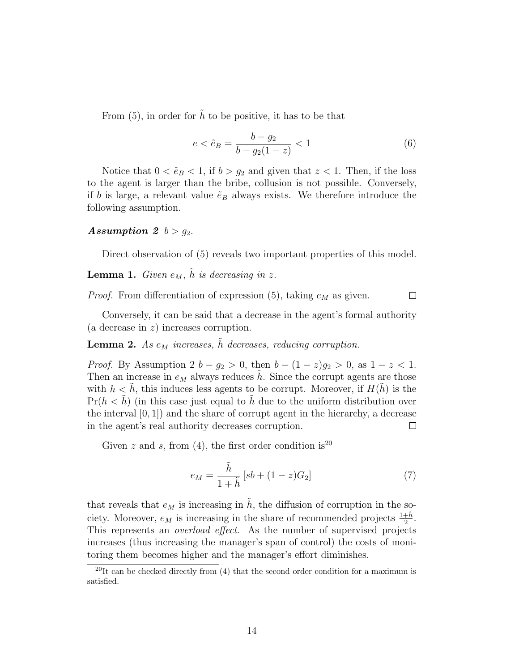From  $(5)$ , in order for  $\tilde{h}$  to be positive, it has to be that

$$
e < \tilde{e}_B = \frac{b - g_2}{b - g_2(1 - z)} < 1 \tag{6}
$$

Notice that  $0 < \tilde{e}_B < 1$ , if  $b > g_2$  and given that  $z < 1$ . Then, if the loss to the agent is larger than the bribe, collusion is not possible. Conversely, if b is large, a relevant value  $\tilde{e}_B$  always exists. We therefore introduce the following assumption.

#### Assumption 2  $b > g_2$ .

Direct observation of (5) reveals two important properties of this model.

**Lemma 1.** Given  $e_M$ ,  $\tilde{h}$  is decreasing in z.

*Proof.* From differentiation of expression (5), taking  $e_M$  as given.

 $\Box$ 

Conversely, it can be said that a decrease in the agent's formal authority (a decrease in z) increases corruption.

**Lemma 2.** As  $e_M$  increases,  $\tilde{h}$  decreases, reducing corruption.

*Proof.* By Assumption 2  $b - g_2 > 0$ , then  $b - (1 - z)g_2 > 0$ , as  $1 - z < 1$ . Then an increase in  $e_M$  always reduces h. Since the corrupt agents are those with  $h < \tilde{h}$ , this induces less agents to be corrupt. Moreover, if  $H(\tilde{h})$  is the  $Pr(h \leq \tilde{h})$  (in this case just equal to  $\tilde{h}$  due to the uniform distribution over the interval  $[0, 1]$  and the share of corrupt agent in the hierarchy, a decrease in the agent's real authority decreases corruption.  $\Box$ 

Given z and s, from (4), the first order condition is<sup>20</sup>

$$
e_M = \frac{\tilde{h}}{1 + \tilde{h}} \left[ sb + (1 - z)G_2 \right] \tag{7}
$$

that reveals that  $e_M$  is increasing in  $\tilde{h}$ , the diffusion of corruption in the society. Moreover,  $e_M$  is increasing in the share of recommended projects  $\frac{1+\tilde{h}}{2}$ . This represents an overload effect. As the number of supervised projects increases (thus increasing the manager's span of control) the costs of monitoring them becomes higher and the manager's effort diminishes.

<sup>&</sup>lt;sup>20</sup>It can be checked directly from  $(4)$  that the second order condition for a maximum is satisfied.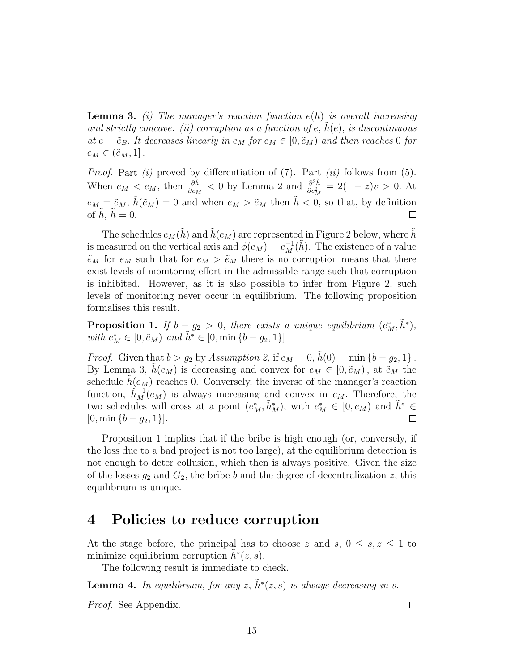**Lemma 3.** (i) The manager's reaction function  $e(\tilde{h})$  is overall increasing and strictly concave. (ii) corruption as a function of  $e$ ,  $h(e)$ , is discontinuous at  $e = \tilde{e}_B$ . It decreases linearly in  $e_M$  for  $e_M \in [0, \tilde{e}_M)$  and then reaches 0 for  $e_M \in (\tilde{e}_M, 1].$ 

*Proof.* Part  $(i)$  proved by differentiation of  $(7)$ . Part  $(ii)$  follows from  $(5)$ . When  $e_M < \tilde{e}_M$ , then  $\frac{\partial \tilde{h}}{\partial e_M} < 0$  by Lemma 2 and  $\frac{\partial^2 \tilde{h}}{\partial e_M^2}$  $\frac{\partial^2 h}{\partial e_M^2} = 2(1-z)v > 0.$  At  $e_M = \tilde{e}_M$ ,  $\tilde{h}(\tilde{e}_M) = 0$  and when  $e_M > \tilde{e}_M$  then  $\tilde{h} < 0$ , so that, by definition of  $h, h = 0$ .  $\Box$ 

The schedules  $e_M(h)$  and  $h(e_M)$  are represented in Figure 2 below, where h is measured on the vertical axis and  $\phi(e_M) = e_M^{-1}(\tilde{h})$ . The existence of a value  $\tilde{e}_M$  for  $e_M$  such that for  $e_M > \tilde{e}_M$  there is no corruption means that there exist levels of monitoring effort in the admissible range such that corruption is inhibited. However, as it is also possible to infer from Figure 2, such levels of monitoring never occur in equilibrium. The following proposition formalises this result.

**Proposition 1.** If  $b - g_2 > 0$ , there exists a unique equilibrium  $(e_M^*, \tilde{h}^*)$ , with  $e_M^* \in [0, \tilde{e}_M)$  and  $\tilde{h}^* \in [0, \min\{b - g_2, 1\}]$ .

*Proof.* Given that  $b > g_2$  by Assumption 2, if  $e_M = 0$ ,  $\tilde{h}(0) = \min \{b - g_2, 1\}$ . By Lemma 3,  $h(e_M)$  is decreasing and convex for  $e_M \in [0, \tilde{e}_M)$ , at  $\tilde{e}_M$  the schedule  $h(e_M)$  reaches 0. Conversely, the inverse of the manager's reaction function,  $\tilde{h}_M^{-1}(e_M)$  is always increasing and convex in  $e_M$ . Therefore, the two schedules will cross at a point  $(e_M^*, \tilde{h}_M^*)$ , with  $e_M^* \in [0, \tilde{e}_M)$  and  $\tilde{h}^* \in$  $[0, \min\{b - g_2, 1\}].$ 

Proposition 1 implies that if the bribe is high enough (or, conversely, if the loss due to a bad project is not too large), at the equilibrium detection is not enough to deter collusion, which then is always positive. Given the size of the losses  $g_2$  and  $G_2$ , the bribe b and the degree of decentralization z, this equilibrium is unique.

### 4 Policies to reduce corruption

At the stage before, the principal has to choose z and s,  $0 \leq s, z \leq 1$  to minimize equilibrium corruption  $\tilde{h}^*(z, s)$ .

The following result is immediate to check.

**Lemma 4.** In equilibrium, for any  $z$ ,  $\tilde{h}^*(z, s)$  is always decreasing in s.

Proof. See Appendix.

 $\Box$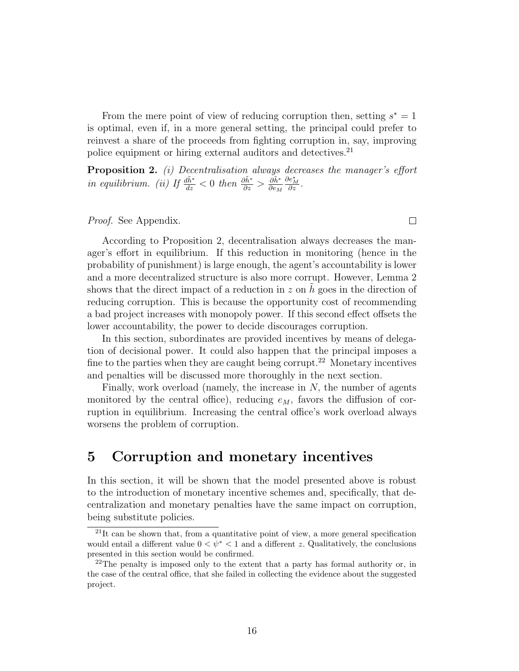From the mere point of view of reducing corruption then, setting  $s^* = 1$ is optimal, even if, in a more general setting, the principal could prefer to reinvest a share of the proceeds from fighting corruption in, say, improving police equipment or hiring external auditors and detectives.<sup>21</sup>

**Proposition 2.** (i) Decentralisation always decreases the manager's effort in equilibrium. (ii) If  $\frac{d\tilde{h}^*}{dz} < 0$  then  $\frac{\partial \tilde{h}^*}{\partial z} > \frac{\partial \tilde{h}^*}{\partial e_M}$  $\partial e_M$  $\frac{\partial e_M^*}{\partial z}$  .

Proof. See Appendix.

According to Proposition 2, decentralisation always decreases the manager's effort in equilibrium. If this reduction in monitoring (hence in the probability of punishment) is large enough, the agent's accountability is lower and a more decentralized structure is also more corrupt. However, Lemma 2 shows that the direct impact of a reduction in  $z$  on h goes in the direction of reducing corruption. This is because the opportunity cost of recommending a bad project increases with monopoly power. If this second effect offsets the lower accountability, the power to decide discourages corruption.

In this section, subordinates are provided incentives by means of delegation of decisional power. It could also happen that the principal imposes a fine to the parties when they are caught being corrupt.<sup>22</sup> Monetary incentives and penalties will be discussed more thoroughly in the next section.

Finally, work overload (namely, the increase in N, the number of agents monitored by the central office), reducing  $e_M$ , favors the diffusion of corruption in equilibrium. Increasing the central office's work overload always worsens the problem of corruption.

### 5 Corruption and monetary incentives

In this section, it will be shown that the model presented above is robust to the introduction of monetary incentive schemes and, specifically, that decentralization and monetary penalties have the same impact on corruption, being substitute policies.

16

 $\Box$ 

<sup>&</sup>lt;sup>21</sup>It can be shown that, from a quantitative point of view, a more general specification would entail a different value  $0 < \psi^* < 1$  and a different z. Qualitatively, the conclusions presented in this section would be confirmed.

 $2<sup>22</sup>$ The penalty is imposed only to the extent that a party has formal authority or, in the case of the central office, that she failed in collecting the evidence about the suggested project.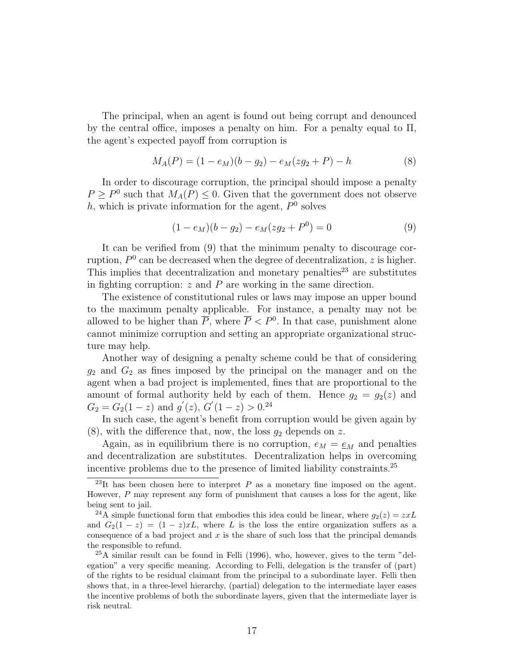The principal, when an agent is found out being corrupt and denounced by the central office, imposes a penalty on him. For a penalty equal to Π, the agent's expected payoff from corruption is

$$
M_A(P) = (1 - e_M)(b - g_2) - e_M(zg_2 + P) - h \tag{8}
$$

In order to discourage corruption, the principal should impose a penalty  $P \ge P^0$  such that  $M_A(P) \le 0$ . Given that the government does not observe h, which is private information for the agent,  $P^0$  solves

$$
(1 - e_M)(b - g_2) - e_M(zg_2 + P^0) = 0
$$
\n(9)

It can be verified from (9) that the minimum penalty to discourage corruption,  $P^0$  can be decreased when the degree of decentralization, z is higher. This implies that decentralization and monetary penalties<sup>23</sup> are substitutes in fighting corruption:  $z$  and  $P$  are working in the same direction.

The existence of constitutional rules or laws may impose an upper bound to the maximum penalty applicable. For instance, a penalty may not be allowed to be higher than  $\overline{P}$ , where  $\overline{P}$  <  $P^0$ . In that case, punishment alone cannot minimize corruption and setting an appropriate organizational structure may help.

Another way of designing a penalty scheme could be that of considering  $g_2$  and  $G_2$  as fines imposed by the principal on the manager and on the agent when a bad project is implemented, fines that are proportional to the amount of formal authority held by each of them. Hence  $g_2 = g_2(z)$  and  $G_2 = G_2(1-z)$  and  $g'(z)$ ,  $G'(1-z) > 0.24$ 

In such case, the agent's benefit from corruption would be given again by  $(8)$ , with the difference that, now, the loss  $g_2$  depends on z.

Again, as in equilibrium there is no corruption,  $e_M = \underline{e}_M$  and penalties and decentralization are substitutes. Decentralization helps in overcoming incentive problems due to the presence of limited liability constraints.<sup>25</sup>

<sup>&</sup>lt;sup>23</sup>It has been chosen here to interpret  $P$  as a monetary fine imposed on the agent. However, P may represent any form of punishment that causes a loss for the agent, like being sent to jail.

<sup>&</sup>lt;sup>24</sup>A simple functional form that embodies this idea could be linear, where  $g_2(z) = zxL$ and  $G_2(1-z) = (1-z)xL$ , where L is the loss the entire organization suffers as a consequence of a bad project and  $x$  is the share of such loss that the principal demands the responsible to refund.

 $^{25}$ A similar result can be found in Felli (1996), who, however, gives to the term "delegation" a very specific meaning. According to Felli, delegation is the transfer of (part) of the rights to be residual claimant from the principal to a subordinate layer. Felli then shows that, in a three-level hierarchy, (partial) delegation to the intermediate layer eases the incentive problems of both the subordinate layers, given that the intermediate layer is risk neutral.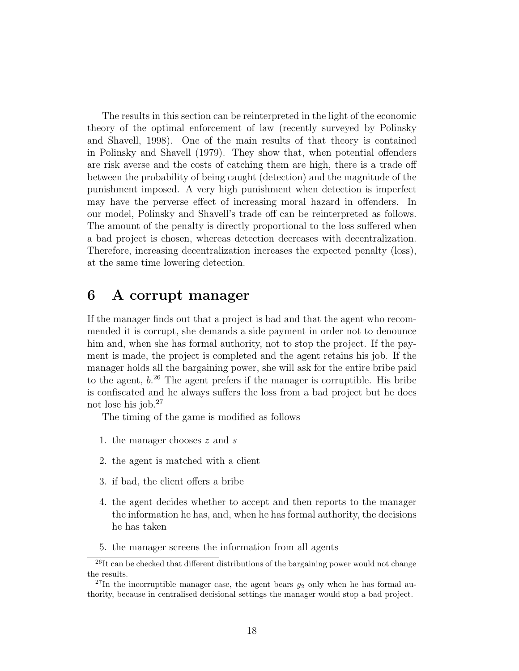The results in this section can be reinterpreted in the light of the economic theory of the optimal enforcement of law (recently surveyed by Polinsky and Shavell, 1998). One of the main results of that theory is contained in Polinsky and Shavell (1979). They show that, when potential offenders are risk averse and the costs of catching them are high, there is a trade off between the probability of being caught (detection) and the magnitude of the punishment imposed. A very high punishment when detection is imperfect may have the perverse effect of increasing moral hazard in offenders. In our model, Polinsky and Shavell's trade off can be reinterpreted as follows. The amount of the penalty is directly proportional to the loss suffered when a bad project is chosen, whereas detection decreases with decentralization. Therefore, increasing decentralization increases the expected penalty (loss), at the same time lowering detection.

### 6 A corrupt manager

If the manager finds out that a project is bad and that the agent who recommended it is corrupt, she demands a side payment in order not to denounce him and, when she has formal authority, not to stop the project. If the payment is made, the project is completed and the agent retains his job. If the manager holds all the bargaining power, she will ask for the entire bribe paid to the agent,  $b^{26}$ . The agent prefers if the manager is corruptible. His bribe is confiscated and he always suffers the loss from a bad project but he does not lose his job.<sup>27</sup>

The timing of the game is modified as follows

- 1. the manager chooses z and s
- 2. the agent is matched with a client
- 3. if bad, the client offers a bribe
- 4. the agent decides whether to accept and then reports to the manager the information he has, and, when he has formal authority, the decisions he has taken
- 5. the manager screens the information from all agents

 $^{26}$ It can be checked that different distributions of the bargaining power would not change the results.

<sup>&</sup>lt;sup>27</sup>In the incorruptible manager case, the agent bears  $g_2$  only when he has formal authority, because in centralised decisional settings the manager would stop a bad project.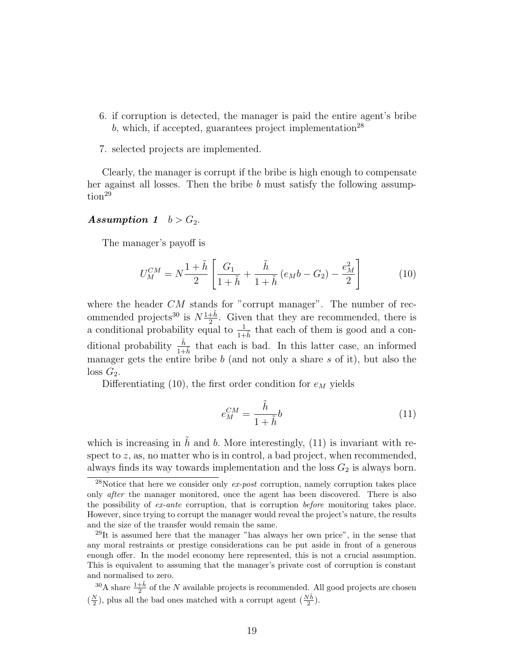- 6. if corruption is detected, the manager is paid the entire agent's bribe b, which, if accepted, guarantees project implementation<sup>28</sup>
- 7. selected projects are implemented.

Clearly, the manager is corrupt if the bribe is high enough to compensate her against all losses. Then the bribe b must satisfy the following assumption<sup>29</sup>

#### Assumption 1  $b > G_2$ .

The manager's payoff is

$$
U_M^{CM} = N \frac{1 + \tilde{h}}{2} \left[ \frac{G_1}{1 + \tilde{h}} + \frac{\tilde{h}}{1 + \tilde{h}} \left( e_M b - G_2 \right) - \frac{e_M^2}{2} \right]
$$
(10)

where the header  $CM$  stands for "corrupt manager". The number of recommended projects<sup>30</sup> is  $N\frac{1+\tilde{h}}{2}$  $\frac{1+h}{2}$ . Given that they are recommended, there is a conditional probability equal to  $\frac{1}{1+h}$  that each of them is good and a conditional probability  $\frac{\tilde{h}}{1+\tilde{h}}$  that each is bad. In this latter case, an informed manager gets the entire bribe  $b$  (and not only a share  $s$  of it), but also the  $\log G_2$ .

Differentiating (10), the first order condition for  $e_M$  yields

$$
e_M^{CM} = \frac{\tilde{h}}{1 + \tilde{h}} b \tag{11}
$$

which is increasing in  $\tilde{h}$  and b. More interestingly, (11) is invariant with respect to  $z$ , as, no matter who is in control, a bad project, when recommended, always finds its way towards implementation and the loss  $G_2$  is always born.

<sup>&</sup>lt;sup>28</sup>Notice that here we consider only  $ex\text{-}post$  corruption, namely corruption takes place only after the manager monitored, once the agent has been discovered. There is also the possibility of ex-ante corruption, that is corruption before monitoring takes place. However, since trying to corrupt the manager would reveal the project's nature, the results and the size of the transfer would remain the same.

<sup>29</sup>It is assumed here that the manager "has always her own price", in the sense that any moral restraints or prestige considerations can be put aside in front of a generous enough offer. In the model economy here represented, this is not a crucial assumption. This is equivalent to assuming that the manager's private cost of corruption is constant and normalised to zero.

<sup>&</sup>lt;sup>30</sup>A share  $\frac{1+\tilde{h}}{2}$  of the N available projects is recommended. All good projects are chosen  $(\frac{N}{2})$ , plus all the bad ones matched with a corrupt agent  $(\frac{N\tilde{h}}{2})$ .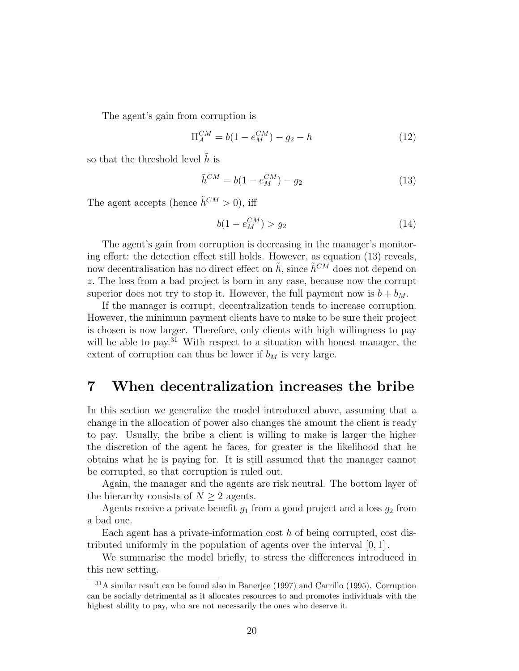The agent's gain from corruption is

$$
\Pi_A^{CM} = b(1 - e_M^{CM}) - g_2 - h \tag{12}
$$

so that the threshold level  $\tilde{h}$  is

$$
\tilde{h}^{CM} = b(1 - e_M^{CM}) - g_2 \tag{13}
$$

The agent accepts (hence  $\tilde{h}^{CM} > 0$ ), iff

$$
b(1 - e_M^{CM}) > g_2 \tag{14}
$$

The agent's gain from corruption is decreasing in the manager's monitoring effort: the detection effect still holds. However, as equation (13) reveals, now decentralisation has no direct effect on  $\tilde{h}$ , since  $\tilde{h}^{CM}$  does not depend on z. The loss from a bad project is born in any case, because now the corrupt superior does not try to stop it. However, the full payment now is  $b + b_M$ .

If the manager is corrupt, decentralization tends to increase corruption. However, the minimum payment clients have to make to be sure their project is chosen is now larger. Therefore, only clients with high willingness to pay will be able to pay.<sup>31</sup> With respect to a situation with honest manager, the extent of corruption can thus be lower if  $b_M$  is very large.

### 7 When decentralization increases the bribe

In this section we generalize the model introduced above, assuming that a change in the allocation of power also changes the amount the client is ready to pay. Usually, the bribe a client is willing to make is larger the higher the discretion of the agent he faces, for greater is the likelihood that he obtains what he is paying for. It is still assumed that the manager cannot be corrupted, so that corruption is ruled out.

Again, the manager and the agents are risk neutral. The bottom layer of the hierarchy consists of  $N \geq 2$  agents.

Agents receive a private benefit  $g_1$  from a good project and a loss  $g_2$  from a bad one.

Each agent has a private-information cost  $h$  of being corrupted, cost distributed uniformly in the population of agents over the interval [0, 1] .

We summarise the model briefly, to stress the differences introduced in this new setting.

<sup>31</sup>A similar result can be found also in Banerjee (1997) and Carrillo (1995). Corruption can be socially detrimental as it allocates resources to and promotes individuals with the highest ability to pay, who are not necessarily the ones who deserve it.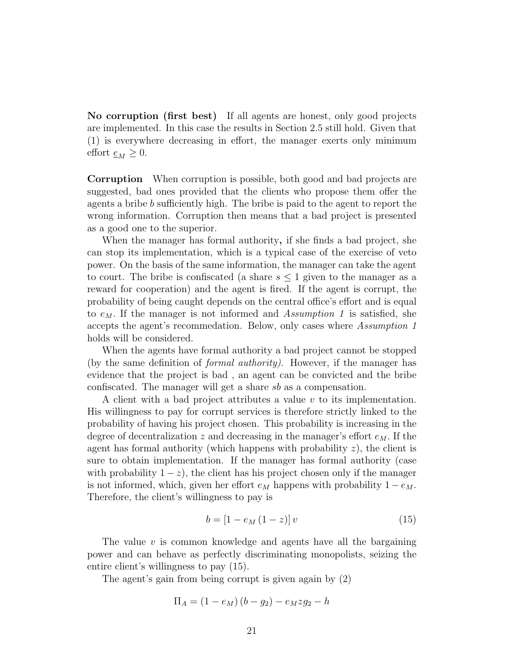No corruption (first best) If all agents are honest, only good projects are implemented. In this case the results in Section 2.5 still hold. Given that (1) is everywhere decreasing in effort, the manager exerts only minimum effort  $\underline{e}_M \geq 0$ .

Corruption When corruption is possible, both good and bad projects are suggested, bad ones provided that the clients who propose them offer the agents a bribe b sufficiently high. The bribe is paid to the agent to report the wrong information. Corruption then means that a bad project is presented as a good one to the superior.

When the manager has formal authority, if she finds a bad project, she can stop its implementation, which is a typical case of the exercise of veto power. On the basis of the same information, the manager can take the agent to court. The bribe is confiscated (a share  $s \leq 1$  given to the manager as a reward for cooperation) and the agent is fired. If the agent is corrupt, the probability of being caught depends on the central office's effort and is equal to  $e_M$ . If the manager is not informed and Assumption 1 is satisfied, she accepts the agent's recommedation. Below, only cases where Assumption 1 holds will be considered.

When the agents have formal authority a bad project cannot be stopped (by the same definition of formal authority). However, if the manager has evidence that the project is bad , an agent can be convicted and the bribe confiscated. The manager will get a share sb as a compensation.

A client with a bad project attributes a value  $v$  to its implementation. His willingness to pay for corrupt services is therefore strictly linked to the probability of having his project chosen. This probability is increasing in the degree of decentralization z and decreasing in the manager's effort  $e_M$ . If the agent has formal authority (which happens with probability  $z$ ), the client is sure to obtain implementation. If the manager has formal authority (case with probability  $1-z$ , the client has his project chosen only if the manager is not informed, which, given her effort  $e_M$  happens with probability  $1 - e_M$ . Therefore, the client's willingness to pay is

$$
b = [1 - e_M (1 - z)] v \tag{15}
$$

The value  $v$  is common knowledge and agents have all the bargaining power and can behave as perfectly discriminating monopolists, seizing the entire client's willingness to pay (15).

The agent's gain from being corrupt is given again by (2)

$$
\Pi_A = (1 - e_M)(b - g_2) - e_M z g_2 - h
$$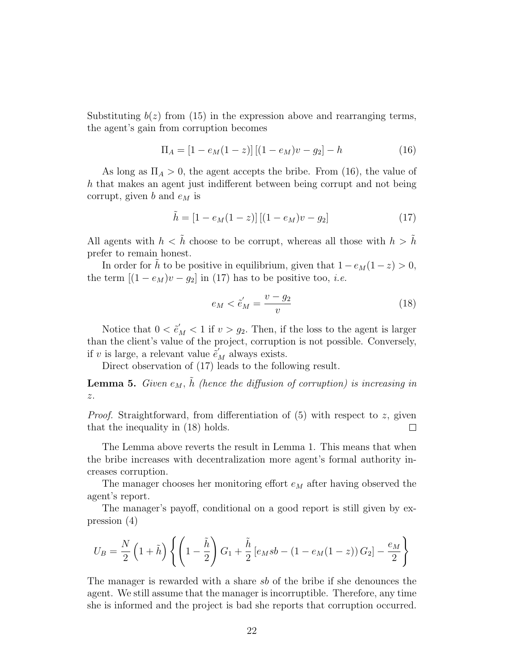Substituting  $b(z)$  from (15) in the expression above and rearranging terms, the agent's gain from corruption becomes

$$
\Pi_A = [1 - e_M(1 - z)][(1 - e_M)v - g_2] - h \tag{16}
$$

As long as  $\Pi_A > 0$ , the agent accepts the bribe. From (16), the value of h that makes an agent just indifferent between being corrupt and not being corrupt, given b and  $e_M$  is

$$
\tilde{h} = [1 - e_M(1 - z)][(1 - e_M)v - g_2]
$$
\n(17)

All agents with  $h < \tilde{h}$  choose to be corrupt, whereas all those with  $h > \tilde{h}$ prefer to remain honest.

In order for h to be positive in equilibrium, given that  $1 - e_M(1 - z) > 0$ , the term  $[(1 - e_M)v - g_2]$  in (17) has to be positive too, *i.e.* 

$$
e_M < \tilde{e}'_M = \frac{v - g_2}{v} \tag{18}
$$

Notice that  $0 < \tilde{e}'_M < 1$  if  $v > g_2$ . Then, if the loss to the agent is larger than the client's value of the project, corruption is not possible. Conversely, if v is large, a relevant value  $\tilde{e}'_M$  always exists.

Direct observation of (17) leads to the following result.

**Lemma 5.** Given  $e_M$ ,  $\tilde{h}$  (hence the diffusion of corruption) is increasing in  $\boldsymbol{z}.$ 

*Proof.* Straightforward, from differentiation of  $(5)$  with respect to z, given that the inequality in (18) holds.  $\Box$ 

The Lemma above reverts the result in Lemma 1. This means that when the bribe increases with decentralization more agent's formal authority increases corruption.

The manager chooses her monitoring effort  $e_M$  after having observed the agent's report.

The manager's payoff, conditional on a good report is still given by expression (4)

$$
U_B = \frac{N}{2} \left( 1 + \tilde{h} \right) \left\{ \left( 1 - \frac{\tilde{h}}{2} \right) G_1 + \frac{\tilde{h}}{2} \left[ e_M s b - \left( 1 - e_M (1 - z) \right) G_2 \right] - \frac{e_M}{2} \right\}
$$

The manager is rewarded with a share sb of the bribe if she denounces the agent. We still assume that the manager is incorruptible. Therefore, any time she is informed and the project is bad she reports that corruption occurred.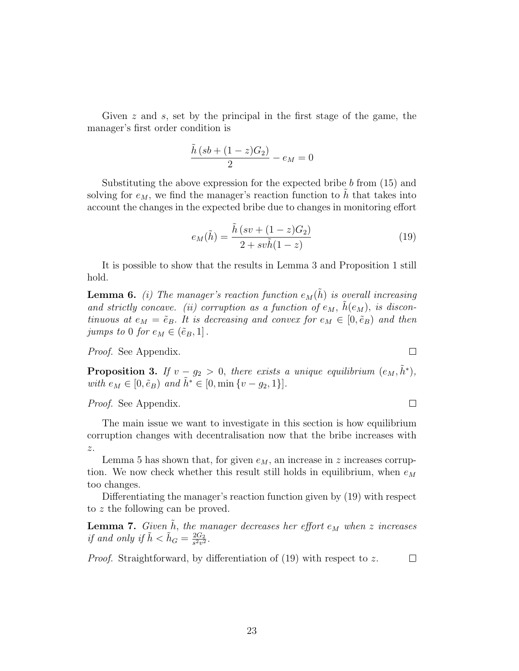Given z and s, set by the principal in the first stage of the game, the manager's first order condition is

$$
\frac{\tilde{h}\left(sb + (1-z)G_2\right)}{2} - e_M = 0
$$

Substituting the above expression for the expected bribe  $b$  from  $(15)$  and solving for  $e_M$ , we find the manager's reaction function to h that takes into account the changes in the expected bribe due to changes in monitoring effort

$$
e_M(\tilde{h}) = \frac{\tilde{h}\left(sv + (1-z)G_2\right)}{2 + sv\tilde{h}(1-z)}
$$
\n<sup>(19)</sup>

It is possible to show that the results in Lemma 3 and Proposition 1 still hold.

**Lemma 6.** (i) The manager's reaction function  $e_M(\tilde{h})$  is overall increasing and strictly concave. (ii) corruption as a function of  $e_M$ ,  $\tilde{h}(e_M)$ , is discontinuous at  $e_M = \tilde{e}_B$ . It is decreasing and convex for  $e_M \in [0, \tilde{e}_B)$  and then jumps to 0 for  $e_M \in (\tilde{e}_B, 1]$ .

Proof. See Appendix.

**Proposition 3.** If  $v - g_2 > 0$ , there exists a unique equilibrium  $(e_M, \tilde{h}^*)$ , with  $e_M \in [0, \tilde{e}_B)$  and  $\tilde{h}^* \in [0, \min\{v - g_2, 1\}].$ 

Proof. See Appendix.

The main issue we want to investigate in this section is how equilibrium corruption changes with decentralisation now that the bribe increases with z.

Lemma 5 has shown that, for given  $e_M$ , an increase in z increases corruption. We now check whether this result still holds in equilibrium, when  $e_M$ too changes.

Differentiating the manager's reaction function given by (19) with respect to z the following can be proved.

**Lemma 7.** Given  $\tilde{h}$ , the manager decreases her effort  $e_M$  when z increases if and only if  $\tilde{h} < \tilde{h}_G = \frac{2G_2}{s^2 v^2}$  $\frac{2G_2}{s^2v^2}$ .

*Proof.* Straightforward, by differentiation of (19) with respect to z.  $\Box$ 

 $\Box$ 

 $\Box$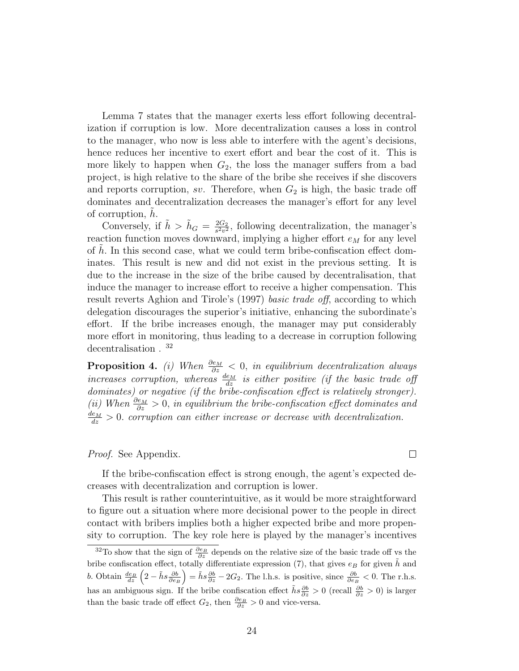Lemma 7 states that the manager exerts less effort following decentralization if corruption is low. More decentralization causes a loss in control to the manager, who now is less able to interfere with the agent's decisions, hence reduces her incentive to exert effort and bear the cost of it. This is more likely to happen when  $G_2$ , the loss the manager suffers from a bad project, is high relative to the share of the bribe she receives if she discovers and reports corruption, sv. Therefore, when  $G_2$  is high, the basic trade off dominates and decentralization decreases the manager's effort for any level of corruption, h.

Conversely, if  $\tilde{h} > \tilde{h}_G = \frac{2G_2}{s^2v^2}$  $\frac{2G_2}{s^2v^2}$ , following decentralization, the manager's reaction function moves downward, implying a higher effort  $e_M$  for any level of  $h$ . In this second case, what we could term bribe-confiscation effect dominates. This result is new and did not exist in the previous setting. It is due to the increase in the size of the bribe caused by decentralisation, that induce the manager to increase effort to receive a higher compensation. This result reverts Aghion and Tirole's (1997) basic trade off, according to which delegation discourages the superior's initiative, enhancing the subordinate's effort. If the bribe increases enough, the manager may put considerably more effort in monitoring, thus leading to a decrease in corruption following decentralisation . <sup>32</sup>

**Proposition 4.** (i) When  $\frac{\partial e_M}{\partial z} < 0$ , in equilibrium decentralization always increases corruption, whereas  $\frac{d_{EM}}{dz}$  is either positive (if the basic trade off dominates) or negative (if the bribe-confiscation effect is relatively stronger). (ii) When  $\frac{\partial e_M}{\partial z} > 0$ , in equilibrium the bribe-confiscation effect dominates and  $\frac{de_M}{dz} > 0$ . corruption can either increase or decrease with decentralization.

#### Proof. See Appendix.

If the bribe-confiscation effect is strong enough, the agent's expected decreases with decentralization and corruption is lower.

 $\Box$ 

This result is rather counterintuitive, as it would be more straightforward to figure out a situation where more decisional power to the people in direct contact with bribers implies both a higher expected bribe and more propensity to corruption. The key role here is played by the manager's incentives

<sup>&</sup>lt;sup>32</sup>To show that the sign of  $\frac{\partial e_B}{\partial z}$  depends on the relative size of the basic trade off vs the bribe confiscation effect, totally differentiate expression (7), that gives  $e_B$  for given  $\tilde{h}$  and *b*. Obtain  $\frac{de_B}{dz}$   $\left(2 - \tilde{h}s \frac{\partial b}{\partial e_B}\right)$  $\bigg) = \tilde{h}s\frac{\partial b}{\partial z} - 2G_2$ . The l.h.s. is positive, since  $\frac{\partial b}{\partial e_B} < 0$ . The r.h.s. has an ambiguous sign. If the bribe confiscation effect  $\tilde{h}s\frac{\partial b}{\partial z} > 0$  (recall  $\frac{\partial b}{\partial z} > 0$ ) is larger than the basic trade off effect  $G_2$ , then  $\frac{\partial e_B}{\partial z} > 0$  and vice-versa.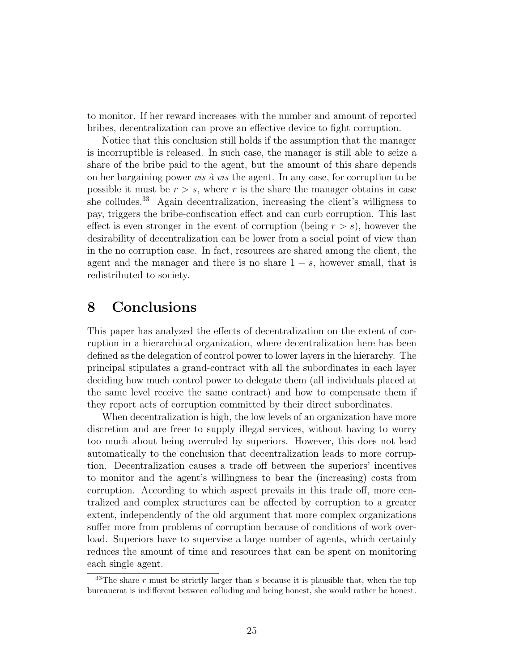to monitor. If her reward increases with the number and amount of reported bribes, decentralization can prove an effective device to fight corruption.

Notice that this conclusion still holds if the assumption that the manager is incorruptible is released. In such case, the manager is still able to seize a share of the bribe paid to the agent, but the amount of this share depends on her bargaining power *vis*  $\dot{a}$  *vis* the agent. In any case, for corruption to be possible it must be  $r > s$ , where r is the share the manager obtains in case she colludes.<sup>33</sup> Again decentralization, increasing the client's willigness to pay, triggers the bribe-confiscation effect and can curb corruption. This last effect is even stronger in the event of corruption (being  $r > s$ ), however the desirability of decentralization can be lower from a social point of view than in the no corruption case. In fact, resources are shared among the client, the agent and the manager and there is no share  $1 - s$ , however small, that is redistributed to society.

### 8 Conclusions

This paper has analyzed the effects of decentralization on the extent of corruption in a hierarchical organization, where decentralization here has been defined as the delegation of control power to lower layers in the hierarchy. The principal stipulates a grand-contract with all the subordinates in each layer deciding how much control power to delegate them (all individuals placed at the same level receive the same contract) and how to compensate them if they report acts of corruption committed by their direct subordinates.

When decentralization is high, the low levels of an organization have more discretion and are freer to supply illegal services, without having to worry too much about being overruled by superiors. However, this does not lead automatically to the conclusion that decentralization leads to more corruption. Decentralization causes a trade off between the superiors' incentives to monitor and the agent's willingness to bear the (increasing) costs from corruption. According to which aspect prevails in this trade off, more centralized and complex structures can be affected by corruption to a greater extent, independently of the old argument that more complex organizations suffer more from problems of corruption because of conditions of work overload. Superiors have to supervise a large number of agents, which certainly reduces the amount of time and resources that can be spent on monitoring each single agent.

 $33$ The share r must be strictly larger than s because it is plausible that, when the top bureaucrat is indifferent between colluding and being honest, she would rather be honest.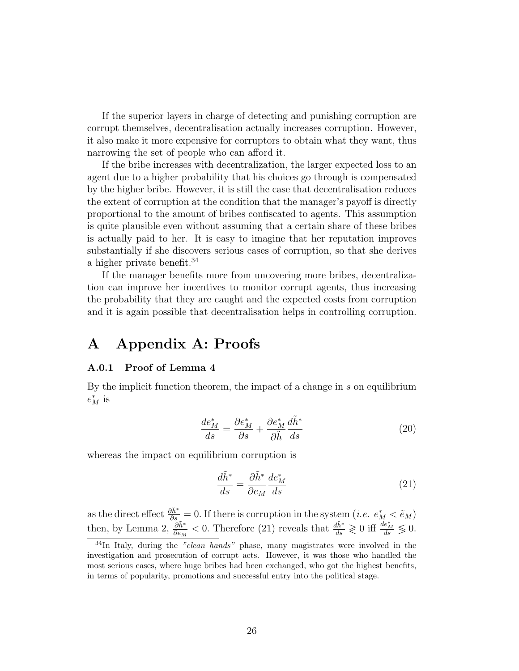If the superior layers in charge of detecting and punishing corruption are corrupt themselves, decentralisation actually increases corruption. However, it also make it more expensive for corruptors to obtain what they want, thus narrowing the set of people who can afford it.

If the bribe increases with decentralization, the larger expected loss to an agent due to a higher probability that his choices go through is compensated by the higher bribe. However, it is still the case that decentralisation reduces the extent of corruption at the condition that the manager's payoff is directly proportional to the amount of bribes confiscated to agents. This assumption is quite plausible even without assuming that a certain share of these bribes is actually paid to her. It is easy to imagine that her reputation improves substantially if she discovers serious cases of corruption, so that she derives a higher private benefit.<sup>34</sup>

If the manager benefits more from uncovering more bribes, decentralization can improve her incentives to monitor corrupt agents, thus increasing the probability that they are caught and the expected costs from corruption and it is again possible that decentralisation helps in controlling corruption.

### A Appendix A: Proofs

#### A.0.1 Proof of Lemma 4

By the implicit function theorem, the impact of a change in s on equilibrium  $e_M^*$  is

$$
\frac{de_M^*}{ds} = \frac{\partial e_M^*}{\partial s} + \frac{\partial e_M^*}{\partial \tilde{h}} \frac{d\tilde{h}^*}{ds} \tag{20}
$$

whereas the impact on equilibrium corruption is

$$
\frac{d\tilde{h}^*}{ds} = \frac{\partial \tilde{h}^*}{\partial e_M} \frac{de_M^*}{ds} \tag{21}
$$

as the direct effect  $\frac{\partial \tilde{h}^*}{\partial s} = 0$ . If there is corruption in the system  $(i.e. e_M^* < \tilde{e}_M)$ then, by Lemma 2,  $\frac{\partial \tilde{h}^*}{\partial e_M} < 0$ . Therefore (21) reveals that  $\frac{d\tilde{h}^*}{ds} \geq 0$  iff  $\frac{de_M^*}{ds} \leq 0$ .

 $34$ In Italy, during the "clean hands" phase, many magistrates were involved in the investigation and prosecution of corrupt acts. However, it was those who handled the most serious cases, where huge bribes had been exchanged, who got the highest benefits, in terms of popularity, promotions and successful entry into the political stage.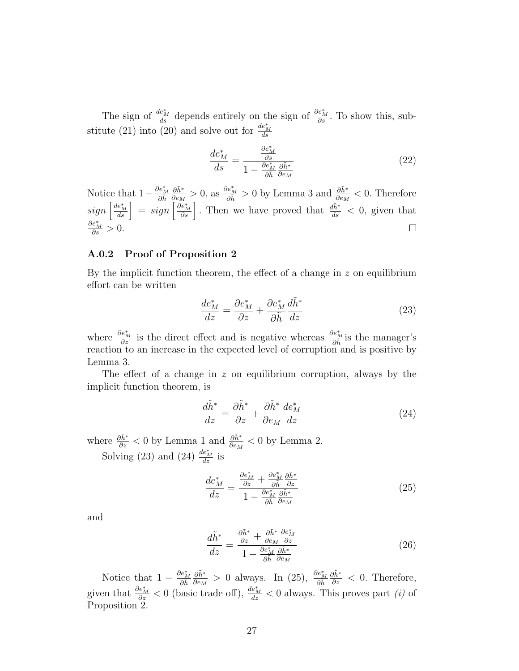The sign of  $\frac{de^*_{M}}{ds}$  depends entirely on the sign of  $\frac{\partial e^*_{M}}{\partial s}$ . To show this, substitute (21) into (20) and solve out for  $\frac{de^*_{M}}{ds}$ 

$$
\frac{de_M^*}{ds} = \frac{\frac{\partial e_M^*}{\partial s}}{1 - \frac{\partial e_M^*}{\partial \tilde{h}} \frac{\partial \tilde{h}^*}{\partial e_M}}
$$
(22)

 $\frac{\partial \tilde{h}^*}{\partial e_M} > 0$ , as  $\frac{\partial e_M^*}{\partial \tilde{h}} > 0$  by Lemma 3 and  $\frac{\partial \tilde{h}^*}{\partial e_M} < 0$ . Therefore  $\partial \tilde{h}^*$ Notice that  $1-\frac{\partial e_M^*}{\partial \tilde{h}}$  $sign\left[\frac{de_{M}^{*}}{ds}\right] = sign\left[\frac{\partial e_{M}^{*}}{\partial s}\right]$ . Then we have proved that  $\frac{d\tilde{h}^{*}}{ds} < 0$ , given that  $\frac{\partial e_M^*}{\partial s} > 0.$  $\Box$ 

#### A.0.2 Proof of Proposition 2

By the implicit function theorem, the effect of a change in  $z$  on equilibrium effort can be written

$$
\frac{de_M^*}{dz} = \frac{\partial e_M^*}{\partial z} + \frac{\partial e_M^*}{\partial \tilde{h}} \frac{d\tilde{h}^*}{dz} \tag{23}
$$

where  $\frac{\partial e_M^*}{\partial z}$  is the direct effect and is negative whereas  $\frac{\partial e_M^*}{\partial \tilde{h}}$  is the manager's reaction to an increase in the expected level of corruption and is positive by Lemma 3.

The effect of a change in  $z$  on equilibrium corruption, always by the implicit function theorem, is

$$
\frac{d\tilde{h}^*}{dz} = \frac{\partial \tilde{h}^*}{\partial z} + \frac{\partial \tilde{h}^*}{\partial e_M} \frac{de_M^*}{dz} \tag{24}
$$

where  $\frac{\partial \tilde{h}^*}{\partial z} < 0$  by Lemma 1 and  $\frac{\partial \tilde{h}^*}{\partial e_M} < 0$  by Lemma 2. Solving (23) and (24)  $\frac{de_M^*}{dz}$  is

$$
\frac{de_M^*}{dz} = \frac{\frac{\partial e_M^*}{\partial z} + \frac{\partial e_M^*}{\partial \tilde{h}} \frac{\partial \tilde{h}^*}{\partial z}}{1 - \frac{\partial e_M^*}{\partial \tilde{h}} \frac{\partial \tilde{h}^*}{\partial e_M}}
$$
(25)

and

$$
\frac{d\tilde{h}^*}{dz} = \frac{\frac{\partial \tilde{h}^*}{\partial z} + \frac{\partial \tilde{h}^*}{\partial e_M} \frac{\partial e_M^*}{\partial z}}{1 - \frac{\partial e_M^*}{\partial \tilde{h}} \frac{\partial \tilde{h}^*}{\partial e_M}}
$$
(26)

Notice that  $1 - \frac{\partial e_M^*}{\partial \tilde{h}}$  $\partial \tilde{h}^*$  $\frac{\partial \tilde{h}^*}{\partial e_M} > 0$  always. In (25),  $\frac{\partial e_M^*}{\partial \tilde{h}}$  $\frac{\partial \tilde{h}^*}{\partial z}$  < 0. Therefore, given that  $\frac{\partial e_M^*}{\partial z} < 0$  (basic trade off),  $\frac{de_M^*}{dz} < 0$  always. This proves part *(i)* of Proposition 2.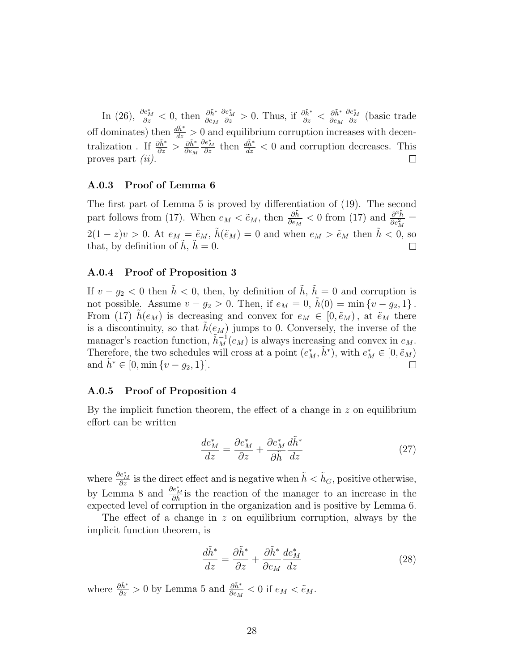In (26),  $\frac{\partial e_M^*}{\partial z} < 0$ , then  $\frac{\partial \tilde{h}^*}{\partial e_M}$  $\frac{\partial e_M^*}{\partial z} > 0$ . Thus, if  $\frac{\partial \tilde{h}^*}{\partial z} < \frac{\partial \tilde{h}^*}{\partial e_M}$  $\partial e_M$  $\frac{\partial e_M^*}{\partial z}$  (basic trade off dominates) then  $\frac{d\tilde{h}^*}{dz} > 0$  and equilibrium corruption increases with decentralization . If  $\frac{\partial \tilde{h}^*}{\partial z} > \frac{\partial \tilde{h}^*}{\partial e_M}$  $\partial e_M$  $\frac{\partial e_M^*}{\partial z}$  then  $\frac{d\tilde{h}^*}{dz} < 0$  and corruption decreases. This proves part (ii).

#### A.0.3 Proof of Lemma 6

The first part of Lemma 5 is proved by differentiation of (19). The second part follows from (17). When  $e_M < \tilde{e}_M$ , then  $\frac{\partial \tilde{h}}{\partial e_M} < 0$  from (17) and  $\frac{\partial^2 \tilde{h}}{\partial e_M^2}$  $\frac{\partial^2 h}{\partial e_M^2} =$  $2(1-z)v > 0$ . At  $e_M = \tilde{e}_M$ ,  $\tilde{h}(\tilde{e}_M) = 0$  and when  $e_M > \tilde{e}_M$  then  $\tilde{h} < 0$ , so that, by definition of  $\tilde{h}$ ,  $\tilde{h} = 0$ . that, by definition of  $h, h = 0$ .

#### A.0.4 Proof of Proposition 3

If  $v - g_2 < 0$  then  $\tilde{h} < 0$ , then, by definition of  $\tilde{h}$ ,  $\tilde{h} = 0$  and corruption is not possible. Assume  $v - g_2 > 0$ . Then, if  $e_M = 0$ ,  $h(0) = \min \{v - g_2, 1\}$ . From (17)  $h(e_M)$  is decreasing and convex for  $e_M \in [0, \tilde{e}_M)$ , at  $\tilde{e}_M$  there is a discontinuity, so that  $\tilde{h}(e_M)$  jumps to 0. Conversely, the inverse of the manager's reaction function,  $\tilde{h}_M^{-1}(e_M)$  is always increasing and convex in  $e_M$ . Therefore, the two schedules will cross at a point  $(e_M^*, \tilde{h}^*)$ , with  $e_M^* \in [0, \tilde{e}_M)$ and  $\tilde{h}^* \in [0, \min\{v - g_2, 1\}].$ 

#### A.0.5 Proof of Proposition 4

By the implicit function theorem, the effect of a change in  $z$  on equilibrium effort can be written

$$
\frac{de_M^*}{dz} = \frac{\partial e_M^*}{\partial z} + \frac{\partial e_M^*}{\partial \tilde{h}} \frac{d\tilde{h}^*}{dz}
$$
(27)

where  $\frac{\partial e_M^*}{\partial z}$  is the direct effect and is negative when  $\tilde{h} < \tilde{h}_G$ , positive otherwise, by Lemma 8 and  $\frac{\partial e_M^*}{\partial \tilde{h}}$  is the reaction of the manager to an increase in the expected level of corruption in the organization and is positive by Lemma 6.

The effect of a change in  $z$  on equilibrium corruption, always by the implicit function theorem, is

$$
\frac{d\tilde{h}^*}{dz} = \frac{\partial \tilde{h}^*}{\partial z} + \frac{\partial \tilde{h}^*}{\partial e_M} \frac{de_M^*}{dz} \tag{28}
$$

where  $\frac{\partial \tilde{h}^*}{\partial z} > 0$  by Lemma 5 and  $\frac{\partial \tilde{h}^*}{\partial e_M} < 0$  if  $e_M < \tilde{e}_M$ .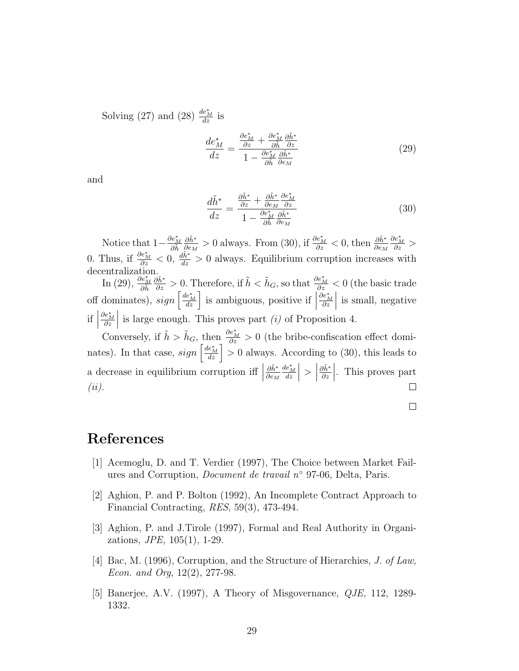Solving (27) and (28)  $\frac{de_M^*}{dz}$  is

$$
\frac{de_M^*}{dz} = \frac{\frac{\partial e_M^*}{\partial z} + \frac{\partial e_M^*}{\partial \tilde{h}} \frac{\partial \tilde{h}^*}{\partial z}}{1 - \frac{\partial e_M^*}{\partial \tilde{h}} \frac{\partial \tilde{h}^*}{\partial e_M}}
$$
(29)

and

$$
\frac{d\tilde{h}^*}{dz} = \frac{\frac{\partial \tilde{h}^*}{\partial z} + \frac{\partial \tilde{h}^*}{\partial e_M} \frac{\partial e_M^*}{\partial z}}{1 - \frac{\partial e_M^*}{\partial \tilde{h}} \frac{\partial \tilde{h}^*}{\partial e_M}}
$$
(30)

Notice that  $1-\frac{\partial e_M^*}{\partial \tilde{h}}$  $\partial \tilde{h}^*$  $\frac{\partial \tilde{h}^*}{\partial e_M} > 0$  always. From (30), if  $\frac{\partial \tilde{e}_M^*}{\partial z} < 0$ , then  $\frac{\partial \tilde{h}^*}{\partial e_M}$  $\frac{\partial e_M^*}{\partial z} >$ 0. Thus, if  $\frac{\partial e_M^*}{\partial z} < 0$ ,  $\frac{d\tilde{h}^*}{dz} > 0$  always. Equilibrium corruption increases with decentralization.

In (29),  $\frac{\partial e_M^*}{\partial \tilde{h}}$  $\frac{\partial \tilde{h}^*}{\partial z} > 0$ . Therefore, if  $\tilde{h} < \tilde{h}_G$ , so that  $\frac{\partial e_M^*}{\partial z} < 0$  (the basic trade off dominates),  $sign\left[\frac{de_{M}^{*}}{dz}\right]$  is ambiguous, positive if  $\left|$  $\frac{\partial e_M^*}{\partial z}$  $\Big\vert$  is small, negative  $\mathrm{if}\Big|$  $\frac{\partial e_M^*}{\partial z}$ is large enough. This proves part  $(i)$  of Proposition 4.

Conversely, if  $\tilde{h} > \tilde{h}_G$ , then  $\frac{\partial e_M^*}{\partial z} > 0$  (the bribe-confiscation effect dominates). In that case,  $sign\left[\frac{de^*_{M}}{dz}\right] > 0$  always. According to (30), this leads to a decrease in equilibrium corruption iff  $\vert$  $\partial \tilde{h}^*$  $\partial e_M$  $\frac{de_M^*}{dz}$  $\vert$  >  $\vert$  $\partial \tilde{h}^*$ ∂z . This proves part (ii).

### References

- [1] Acemoglu, D. and T. Verdier (1997), The Choice between Market Failures and Corruption, Document de travail n◦ 97-06, Delta, Paris.
- [2] Aghion, P. and P. Bolton (1992), An Incomplete Contract Approach to Financial Contracting, RES, 59(3), 473-494.
- [3] Aghion, P. and J.Tirole (1997), Formal and Real Authority in Organizations, JPE, 105(1), 1-29.
- [4] Bac, M. (1996), Corruption, and the Structure of Hierarchies, J. of Law, Econ. and Org, 12(2), 277-98.
- [5] Banerjee, A.V. (1997), A Theory of Misgovernance, QJE, 112, 1289- 1332.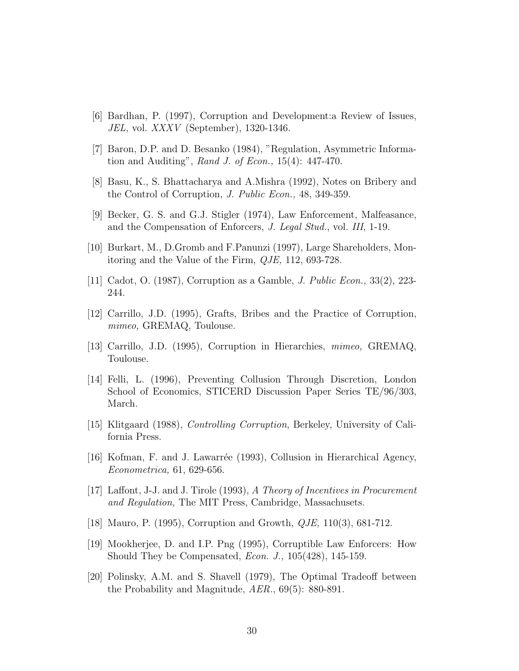- [6] Bardhan, P. (1997), Corruption and Development:a Review of Issues, JEL, vol. XXXV (September), 1320-1346.
- [7] Baron, D.P. and D. Besanko (1984), "Regulation, Asymmetric Information and Auditing", Rand J. of Econ.,  $15(4)$ :  $447-470$ .
- [8] Basu, K., S. Bhattacharya and A.Mishra (1992), Notes on Bribery and the Control of Corruption, J. Public Econ., 48, 349-359.
- [9] Becker, G. S. and G.J. Stigler (1974), Law Enforcement, Malfeasance, and the Compensation of Enforcers, J. Legal Stud., vol. III, 1-19.
- [10] Burkart, M., D.Gromb and F.Panunzi (1997), Large Shareholders, Monitoring and the Value of the Firm, QJE, 112, 693-728.
- [11] Cadot, O. (1987), Corruption as a Gamble, J. Public Econ., 33(2), 223- 244.
- [12] Carrillo, J.D. (1995), Grafts, Bribes and the Practice of Corruption, mimeo, GREMAQ, Toulouse.
- [13] Carrillo, J.D. (1995), Corruption in Hierarchies, mimeo, GREMAQ, Toulouse.
- [14] Felli, L. (1996), Preventing Collusion Through Discretion, London School of Economics, STICERD Discussion Paper Series TE/96/303, March.
- [15] Klitgaard (1988), Controlling Corruption, Berkeley, University of California Press.
- [16] Kofman, F. and J. Lawarr´ee (1993), Collusion in Hierarchical Agency, Econometrica, 61, 629-656.
- [17] Laffont, J-J. and J. Tirole (1993), A Theory of Incentives in Procurement and Regulation, The MIT Press, Cambridge, Massachusets.
- [18] Mauro, P. (1995), Corruption and Growth, QJE, 110(3), 681-712.
- [19] Mookherjee, D. and I.P. Png (1995), Corruptible Law Enforcers: How Should They be Compensated, Econ. J., 105(428), 145-159.
- [20] Polinsky, A.M. and S. Shavell (1979), The Optimal Tradeoff between the Probability and Magnitude, AER., 69(5): 880-891.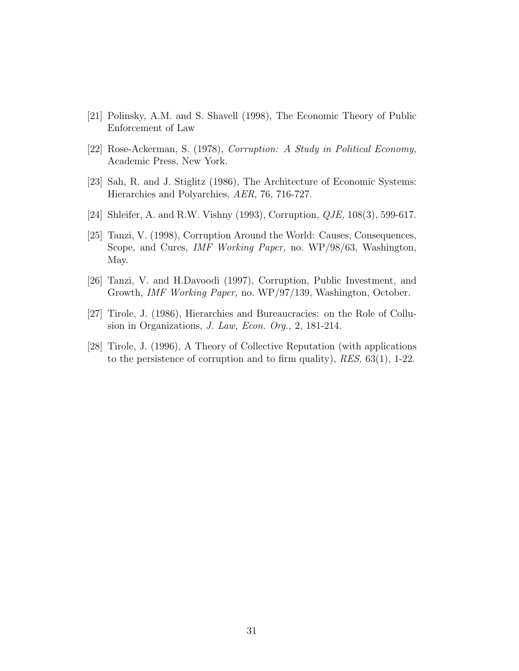- [21] Polinsky, A.M. and S. Shavell (1998), The Economic Theory of Public Enforcement of Law
- [22] Rose-Ackerman, S. (1978), Corruption: A Study in Political Economy, Academic Press, New York.
- [23] Sah, R. and J. Stiglitz (1986), The Architecture of Economic Systems: Hierarchies and Polyarchies, AER, 76, 716-727.
- [24] Shleifer, A. and R.W. Vishny (1993), Corruption, QJE, 108(3), 599-617.
- [25] Tanzi, V. (1998), Corruption Around the World: Causes, Consequences, Scope, and Cures, IMF Working Paper, no. WP/98/63, Washington, May.
- [26] Tanzi, V. and H.Davoodi (1997), Corruption, Public Investment, and Growth, IMF Working Paper, no. WP/97/139, Washington, October.
- [27] Tirole, J. (1986), Hierarchies and Bureaucracies: on the Role of Collusion in Organizations, J. Law, Econ. Org., 2, 181-214.
- [28] Tirole, J. (1996), A Theory of Collective Reputation (with applications to the persistence of corruption and to firm quality), RES, 63(1), 1-22.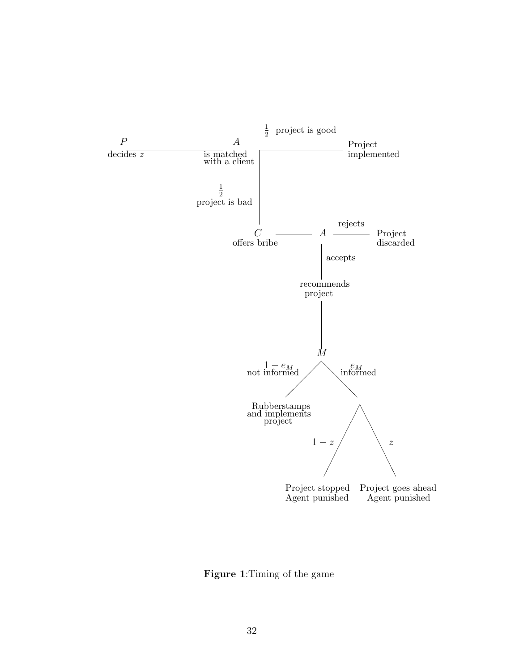

Figure 1:Timing of the game